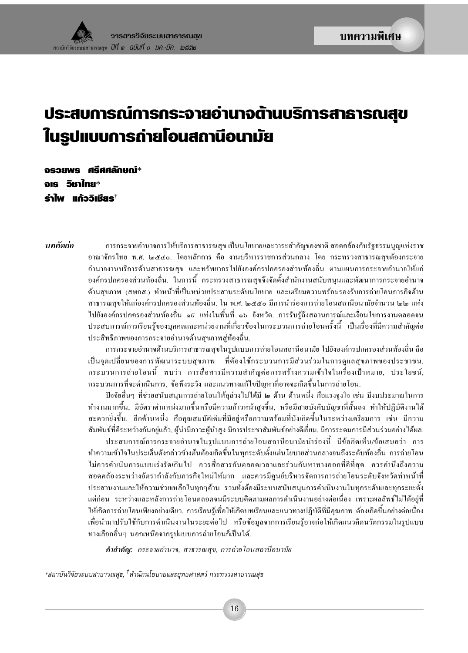# ประสบการณ์การกระจายอำนาจต้านบริการสาธารณสุข ในรูปแบบการถ่ายโอนสถานีอนามัย

งรวยพร ศรีศศลักษณ์\* อเร วิหาไทย\* รำไพ แก้ววิเหียร $^{\dagger}$ 

บทดัดย่อ ึการกระจายอำนาจการให้บริการสาธารณสข เป็นนโยบายและวาระสำคัญของชาติ สอดคล้องกับรัฐธรรมนณแห่งราช ้อาณาจักรไทย พ.ศ. ๒๕๔๐. โดยหลักการ คือ งานบริหารราชการส่วนกลาง โดย กระทรวงสาธารณสขด้องกระจาย ้อำนาจงานบริการด้านสาธารณสข และทรัพยากรไปยังองค์กรปกครองส่วนท้องถิ่น ตามแผนการกระจายอำนาจให้แก่ ้องค์กรปกครองส่วนท้องถิ่น. ในการนี้ กระทรวงสาธารณสุขจึงจัดตั้งสำนักงานสนับสนุนและพัฒนาการกระจายอำนาจ ้ด้านสขภาพ (สพกส.) ทำหน้าที่เป็นหน่วยประสานระดับนโยบาย และเตรียมความพร้อมรองรับการถ่ายโอนภารกิจด้าน สาธารณสขให้แก่องค์กรปกครองส่วนท้องถิ่น. ใน พ.ศ. ๒๕๕๐ มีการนำร่องการถ่ายโอนสถานีอนามัยจำนวน ๒๒ แห่ง ไปยังองค์กรปกครองส่วนท้องถิ่น ๑៩ แห่งในพื้นที่ ๑๖ จังหวัด. การรับร้ถึงสถานการณ์และเงื่อนไขการงานตลอดจน ี ประสบการณ์การเรียนร้ของบคคลและหน่วยงานที่เกี่ยวข้องในกระบวนการถ่ายโอนครั้งนี้ เป็นเรื่องที่มีความสำคัญต่อ ประสิทธิภาพของการกระจายอำนาจค้านสขภาพส่ท้องถิ่น.

> การกระจายอำนาจค้านบริการสาธารณสุขในรูปแบบการถ่ายโอนสถานีอนามัย ไปยังองค์กรปกครองส่วนท้องถิ่น ถือ ้เป็นจุดเปลี่ยนของการพัฒนาระบบสุขภาพ ที่ต้องใช้กระบวนการมีส่วนร่วมในการดูแลสุขภาพของประชาชน. ึกระบวนการถ่ายโอนนี้ พบว่า การสื่อสารมีความสำคัญต่อการสร้างความเข้าใจในเรื่องเป้าหมาย, ประโยชน์, ึกระบวนการที่จะดำเนินการ, ข้อพึงระวัง และแนวทางแก้ไขปัญหาที่อาจจะเกิดขึ้นในการถ่ายโอน.

> ปัจจัยอื่นๆ ที่ช่วยสนับสนนการถ่ายโอนให้ลล่วงไปได้มี ๒ ด้าน ด้านหนึ่ง คือแรงจงใจ เช่น มีงบประมาณในการ ้ ทำงานมากขึ้น, มีอัตราตำแหน่งมากขึ้นหรือมีความก้าวหน้าสงขึ้น, หรือมีสายบังคับบัญชาที่สั้นลง ทำให้ปฏิบัติงานได้ สะควกยิ่งขึ้น. อีกด้านหนึ่ง คือคุณสมบัติเดิมที่มีอยู่หรือความพร้อมที่บังเกิดขึ้นในระหว่างเตรียมการ เช่น มีความ สัมพันธ์ที่ดีระหว่างกันอยู่แล้ว, ผู้นำมีภาวะผู้นำสูง มีการประชาสัมพันธ์อย่างดีเยี่ยม, มีการระดมการมีส่วนร่วมอย่างได้ผล.

> ประสบการณ์การกระจายอำนาจในรูปแบบการถ่ายโอนสถานีอนามัยนำร่องนี้ มีข้อคิดเห็น/ข้อเสนอว่า การ ้ทำความเข้าใจในประเด็นดังกล่าวข้างต้นต้องเกิดขึ้นในทกระดับตั้งแต่นโยบายส่วนกลางจนถึงระดับท้องถิ่น การถ่ายโอน ไม่ควรดำเนินการแบบเร่งรัดเกินไป ควรสื่อสารกันตลอดเวลาและร่วมกันหาทางออกที่ดีที่สด ควรคำนึงถึงความ ี่สอดคล้องระหว่างอัตรากำลังกับภารกิจใหม่ให้มาก และควรมีศูนย์บริหารจัดการการถ่ายโอนระดับจังหวัดทำหน้าที่ ประสานงานและให้ความช่วยเหลือในทุกๆด้าน รวมทั้งต้องมีระบบสนับสนุนการดำเนินงานในทุกระดับและทุกระยะตั้ง ี แต่ก่อน ระหว่างและหลังการถ่ายโอนตลอคจนมีระบบติดตามผลการดำเนินงานอย่างต่อเนื่อง เพราะผลลัพธ์ไม่ได้อยู่ที่ ให้เกิดการถ่ายโอนเพียงอย่างเดียว. การเรียนรู้เพื่อให้เกิดบทเรียนและแนวทางปฏิบัติที่มีคุณภาพ ต้องเกิดขึ้นอย่างต่อเนื่อง เพื่อนำมาปรับใช้กับการคำเนินงานในระยะต่อไป หรือข้อมูลจากการเรียนรู้อาจก่อให้เกิดแนวคิดนวัตกรรมในรูปแบบ ้ทางเลือกอื่นๆ นอกเหนือจากรูปแบบการถ่ายโอนก็เป็นใด้.

คำสำคัญ: กระจายอำนาจ, สาธารณสุข, การถ่ายโอนสถานีอนามัย

\*สถาบันวิจัยระบบสาธารณสุข, <sup>†</sup>สำนักนโยบายและยุทธศาสตร์ กระทรวงสาธารณสุข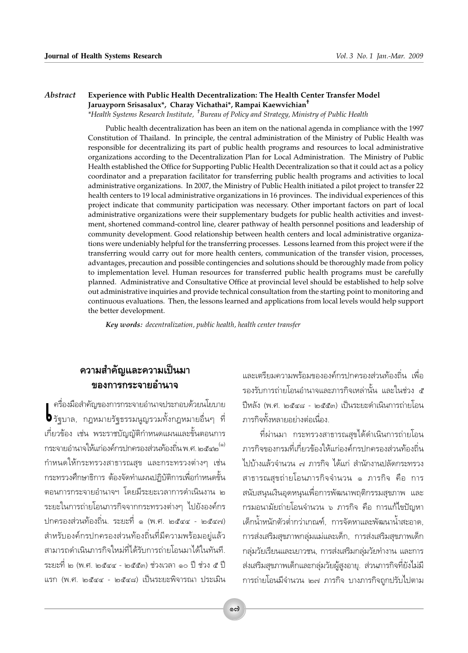#### Abstract Experience with Public Health Decentralization: The Health Center Transfer Model Jaruayporn Srisasalux\*, Charay Vichathai\*, Rampai Kaewvichian<sup>†</sup> \*Health Systems Research Institute, <sup>†</sup>Bureau of Policy and Strategy, Ministry of Public Health

Public health decentralization has been an item on the national agenda in compliance with the 1997 Constitution of Thailand. In principle, the central administration of the Ministry of Public Health was responsible for decentralizing its part of public health programs and resources to local administrative organizations according to the Decentralization Plan for Local Administration. The Ministry of Public Health established the Office for Supporting Public Health Decentralization so that it could act as a policy coordinator and a preparation facilitator for transferring public health programs and activities to local administrative organizations. In 2007, the Ministry of Public Health initiated a pilot project to transfer 22 health centers to 19 local administrative organizations in 16 provinces. The individual experiences of this project indicate that community participation was necessary. Other important factors on part of local administrative organizations were their supplementary budgets for public health activities and investment, shortened command-control line, clearer pathway of health personnel positions and leadership of community development. Good relationship between health centers and local administrative organizations were undeniably helpful for the transferring processes. Lessons learned from this project were if the transferring would carry out for more health centers, communication of the transfer vision, processes, advantages, precaution and possible contingencies and solutions should be thoroughly made from policy to implementation level. Human resources for transferred public health programs must be carefully planned. Administrative and Consultative Office at provincial level should be established to help solve out administrative inquiries and provide technical consultation from the starting point to monitoring and continuous evaluations. Then, the lessons learned and applications from local levels would help support the better development.

Key words: decentralization, public health, health center transfer

#### ้ความสำคัญและความเป็นมา ์ของการกระจายอำนาจ

ครื่องมือสำคัญของการกระจายอำนาจประกอบด้วยนโยบาย **b** รัฐบาล, กฎหมายรัฐธรรมนูญรวมทั้งกฎหมายอื่นๆ ที่ เกี่ยวข้อง เช่น พระราชบัญญัติกำหนดแผนและขั้นตอนการ กระจายอำนาจให้แก่องค์กรปกครองส่วนท้องถิ่น พ.ศ. ๒๕๔๒ <sup>(๑)</sup> กำหนดให้กระทรวงสาธารณสุข และกระทรวงต่างๆ เช่น ้กระทรวงศึกษาธิการ ต้องจัดทำแผนปฏิบัติการเพื่อกำหนดขั้น ตอนการกระจายอำนาจฯ โดยมีระยะเวลาการดำเนินงาน ๒ ระยะในการถ่ายโอนภารกิจจากกระทรวงต่างๆ ไปยังองค์กร ปกครองส่วนท้องถิ่น. ระยะที่ ๑ (พ.ศ. ๒๕๔๔ - ๒๕๔๗) สำหรับองค์กรปกครองส่วนท้องถิ่นที่มีความพร้อมอย่แล้ว สามารถดำเนินภารกิจใหม่ที่ได้รับการถ่ายโอนมาได้ในทันที. ระยะที่ ๒ (พ.ศ. ๒๕๔๔ - ๒๕๕๓) ช่วงเวลา ๑๐ ปี ช่วง ๕ ปี แรก (พ.ศ. ๒๕๔๔ - ๒๕๔๘) เป็นระยะพิจารณา ประเมิน และเตรียมความพร้อมขององค์กรปกครองส่วนท้องถิ่น เพื่อ รองรับการถ่ายโอนอำนาจและภารกิจเหล่านั้น และในช่วง ๕ ปีหลัง (พ.ศ. ๒๕๔๘ - ๒๕๕๓) เป็นระยะดำเนินการถ่ายโอน ภารกิจทั้งหลายอย่างต่อเนื่อง.

ที่ผ่านมา กระทรวงสาธารณสุขได้ดำเนินการถ่ายโอน ภารกิจของกรมที่เกี่ยวข้องให้แก่องค์กรปกครองส่วนท้องถิ่น ไปบ้างแล้วจำนวน ๗ ภารกิจ ได้แก่ สำนักงานปลัดกระทรวง สาธารณสุขถ่ายโอนภารกิจจำนวน ๑ ภารกิจ คือ การ สนับสนุนเงินอุดหนุนเพื่อการพัฒนาพฤติกรรมสุขภาพ และ กรมอนามัยถ่ายโอนจำนวน ๖ ภารกิจ คือ การแก้ไขปัญหา เด็กน้ำหนักตัวต่ำกว่าเกณฑ์, การจัดหาและพัฒนาน้ำสะอาด, การส่งเสริมสุขภาพกลุ่มแม่และเด็ก, การส่งเสริมสุขภาพเด็ก กลุ่มวัยเรียนและเยาวชน, การส่งเสริมกลุ่มวัยทำงาน และการ ส่งเสริมสุขภาพเด็กและกลุ่มวัยผู้สูงอายุ. ส่วนภารกิจที่ยังไม่มี การถ่ายโอนมีจำนวน ๒๗ ภารกิจ บางภารกิจถูกปรับไปตาม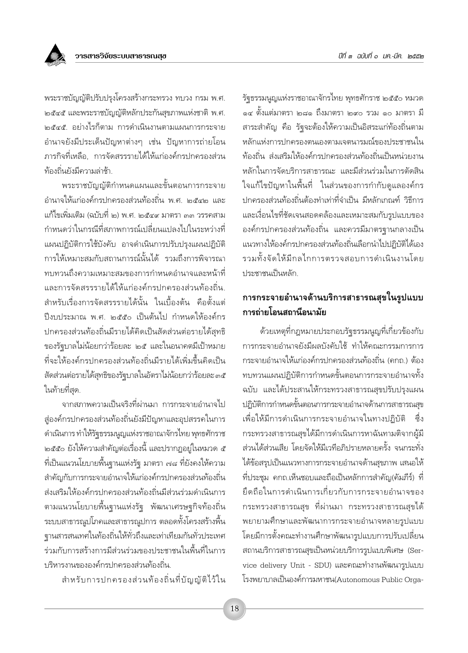พระราชบัญญัติปรับปรุงโครงสร้างกระทรวง ทบวง กรม พ.ศ. ๒๕๔๕ และพระราชบัญญัติหลักประกันสุขภาพแห่งชาติ พ.ศ. ๒๕๔๕ อย่างไรก็ตาม การดำเนินงานตามแผนการกระจาย อำนาจยังมีประเด็นปัญหาต่างๆ เช่น ปัญหาการถ่ายโอน ภารกิจที่เหลือ การจัดสรรรายได้ให้แก่องค์กรปกครองส่วน ท้องถิ่นยังมีความล่าช้า

้<br>พระราชบัญญัติกำหนดแผนและขั้นตอนการกระจาย อำนาจให้แก่องค์กรปกครองส่วนท้องถิ่น พ.ศ. ๒๕๔๒ และ แก้ไขเพิ่มเติม (ฉบับที่ ๒) พ.ศ. ๒๕๔๙ มาตรา ๓๓ วรรคสาม กำหนดว่าในกรณีที่สภาพการณ์เปลี่ยนแปลงไปในระหว่างที่ แผนปฏิบัติการใช้บังคับ อาจดำเนินการปรับปรุงแผนปฏิบัติ การให้เหมาะสมกับสถานการณ์นั้นได้ รวมถึงการพิจารณา ทบทวนถึงความเหมาะสมของการกำหนดอำนาจและหน้าที่ และการจัดสรรรายได้ให้แก่องค์กรปกครองส่วนท้องถิ่น สำหรับเรื่องการจัดสรรรายได้นั้น ในเบื้องต้น คือตั้งแต่ ปีงบประมาณ พ.ศ. ๒๕๕๐ เป็นต้นไป กำหนดให้องค์กร ปกครองส่วนท้องถิ่นมีรายได้คิดเป็นสัดส่วนต่อรายได้สุทธิ ของรัฐบาลไม่น้อยกว่าร้อยละ ๒๕ และในอนาคตมีเป้าหมาย ที่จะให้องค์กรปกครองส่วนท้องถิ่นมีรายได้เพิ่มขึ้นคิดเป็น สัดส่วนต่อรายได้สุทธิของรัฐบาลในอัตราไม่น้อยกว่าร้อยละ ๓๕ ในท้ายที่สด.

จากสภาพความเป็นจริงที่ผ่านมา การกระจายอำนาจไป สู่องค์กรปกครองส่วนท้องถิ่นยังมีปัญหาและอุปสรรคในการ ดำเนินการ ทำให้รัฐธรรมนูญแห่งราชอาณาจักรไทย พุทธศักราช ็๒๕๕๐ ยังให้ความสำคัญต่อเรื่องนี้ และปรากฏอยู่ในหมวด ๕ ที่เป็นแนวนโยบายพื้นฐานแห่งรัฐ มาตรา ๗๘ ที่ยังคงให้ความ ้สำคัญกับการกระจายอำนาจให้แก่องค์กรปกครองส่วนท้องถิ่น ส่งเสริมให้องค์กรปกครองส่วนท้องถิ่นมีส่วนร่วมดำเนินการ ิตามแนวนโยบายพื้นฐานแห่งรัฐ พัฒนาเศรษฐกิจท้องถิ่น ระบบสาธารณูปโภคและสาธารณูปการ ตลอดทั้งโครงสร้างพื้น ฐานสารสนเทศในท้องถิ่นให้ทั่วถึงและเท่าเทียมกันทั่วประเทศ ร่วมกับการสร้างการมีส่วนร่วมของประชาชนในพื้นที่ในการ ำเริหารงานขององค์กรปกครองส่วนท้องถิ่น

สำหรับการปกครองส่วนท้องถิ่นที่บัญญัติไว้ใน

รัฐธรรมนูญแห่งราชอาณาจักรไทย พุทธศักราช ๒๕๕๐ หมวด ๑๔ ตั้งแต่มาตรา ๒๘๑ ถึงมาตรา ๒๙๐ รวม ๑๐ มาตรา มี่ สาระสำคัญ คือ รัฐจะต้องให้ความเป็นอิสระแก่ท้องถิ่นตาม หลักแห่งการปกครองตนเองตามเจตนารมณ์ของประชาชนใน ์ท้องถิ่น ส่งเสริมให้องค์กรปกครองส่วนท้องถิ่นเป็นหน่วยงาน หลักในการจัดบริการสาธารณะ และมีส่วนร่วมในการตัดสิน ใจแก้ไขปัญหาในพื้นที่ ในส่วนของการกำกับดแลองค์กร ปกครองส่วนท้องถิ่นต้องทำเท่าที่จำเป็น มีหลักเกณฑ์ วิธีการ และเงื่อนไขที่ชัดเจนสอดคล้องและเหมาะสมกับรปแบบของ ้องค์กรปกครองส่วนท้องถิ่น และควรมีมาตรฐานกลางเป็น แนวทางให้องค์กรปกครองส่วนท้องถิ่นเลือกนำไปปฏิบัติได้เอง รวมทั้งจัดให้มีกลไกการตรวจสอบการดำเนินงานโดย ประชาชนเป็นหลัก

#### การกระจายอำนาจด้านบริการสาธารณสุขในรูปแบบ การถ่ายโอนสถานีอนามัย

ด้วยเหตุที่กฎหมายประกอบรัฐธรรมนูญที่เกี่ยวข้องกับ การกระจายอำนาจยังมีผลบังคับใช้ ทำให้คณะกรรมการการ กระจายอำนาจให้แก่องค์กรปกครองส่วนท้องถิ่น (คกถ.) ต้อง ทบทวนแผนปฏิบัติการกำหนดขั้นตอนการกระจายอำนาจทั้ง ฉบับ และได้ประสานให้กระทรวงสาธารณสุขปรับปรุงแผน ปฏิบัติการกำหนดขั้นตอนการกระจายอำนาจด้านการสาธารณสุข เพื่อให้มีการดำเนินการกระจายอำนาจในทางปฏิบัติ ี ซึ่ง กระทรวงสาธารณสุขได้มีการดำเนินการหาฉันทามติจากผู้มี ส่วนได้ส่วนเสีย โดยจัดให้มีเวทีอภิปรายหลายครั้ง จนกระทั่ง ได้ข้อสรุปเป็นแนวทางการกระจายอำนาจด้านสุขภาพ เสนอให้ ้ที่ประชุม คกถ.เห็นชอบและถือเป็นหลักการสำคัญ(คัมภีร์) ที่ ยึดถือในการดำเนินการเกี่ยวกับการกระจายอำนาจของ ิกระทรวงสาธารณสุข ที่ผ่านมา กระทรวงสาธารณสุขได้ พยายามศึกษาและพัฒนาการกระจายอำนาจหลายรูปแบบ โดยมีการตั้งคณะทำงานศึกษาพัฒนารูปแบบการปรับเปลี่ยน สถานบริการสาธารณสุขเป็นหน่วยบริการรูปแบบพิเศษ (Service delivery Unit - SDU) และคณะทำงานพัฒนารูปแบบ โรงพยาบาลเป็นองค์การมหาชน(Autonomous Public Orga-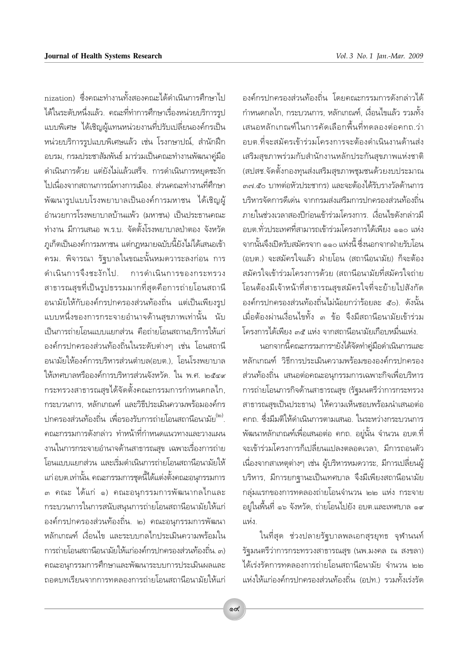nization) ซึ่งคณะทำงานทั้งสองคณะได้ดำเนินการศึกษาไป ได้ในระดับหนึ่งแล้ว. คณะที่ทำการศึกษาเรื่องหน่วยบริการรูป แบบพิเศษ ได้เชิญผู้แทนหน่วยงานที่ปรับเปลี่ยนองค์กรเป็น หน่วยบริการรูปแบบพิเศษแล้ว เช่น โรงกษาปณ์, สำนักฝึก อบรม, กรมประชาสัมพันธ์ มาร่วมเป็นคณะทำงานพัฒนาคู่มือ ดำเนินการด้วย แต่ยังไม่แล้วเสร็จ. การดำเนินการหยุดชะงัก ไปเนื่องจากสถานการณ์ทางการเมือง. ส่วนคณะทำงานที่ศึกษา ้พัฒนารูปแบบโรงพยาบาลเป็นองค์การมหาชน ได้เชิญผู้ อำนวยการโรงพยาบาลบ้านแพ้ว (มหาชน) เป็นประธานคณะ ทำงาน มีการเสนอ พ.ร.บ. จัดตั้งโรงพยาบาลป่าตอง จังหวัด ภูเก็ตเป็นองค์การมหาชน แต่กฎหมายฉบับนี้ยังไม่ได้เสนอเข้า ้ครม. พิจารณา รัฐบาลในขณะนั้นหมดวาระลงก่อน การ ดำเนินการจึงชะงักไป. การดำเนินการของกระทรวง สาธารณสุขที่เป็นรูปธรรมมากที่สุดคือการถ่ายโอนสถานี อนามัยให้กับองค์กรปกครองส่วนท้องถิ่น แต่เป็นเพียงรูป แบบหนึ่งของการกระจายอำนาจด้านสุขภาพเท่านั้น นับ เป็นการถ่ายโอนแบบแยกส่วน คือถ่ายโอนสถานบริการให้แก่ องค์กรปกครองส่วนท้องถิ่นในระดับต่างๆ เช่น โอนสถานี ้อนามัยให้องค์การบริหารส่วนตำบล(อบต.). โอนโรงพยาบาล ให้เทศบาลหรือองค์การบริหารส่วนจังหวัด. ใน พ.ศ. ๒๕๔๙ ้กระทรวงสาธารณสุขได้จัดตั้งคณะกรรมการกำหนดกลไก, กระบวนการ, หลักเกณฑ์ และวิธีประเมินความพร้อมองค์กร ปกครองส่วนท้องถิ่น เพื่อรองรับการถ่ายโอนสถานีอนามัย (๒) ิดณะกรรมการดังกล่าว ทำหน้าที่กำหนดแนวทางและวางแผน ึงานในการกระจายอำนาจด้านสาธารณสุข เฉพาะเรื่องการถ่าย โอนแบบแยกส่วน และเริ่มดำเนินการถ่ายโอนสถานีอนามัยให้ แก่ อบต.เท่านั้น. คณะกรรมการชุดนี้ได้แต่งตั้งคณะอนุกรรมการ ๓ คณะ ได้แก่ ๑) คณะอนุกรรมการพัฒนากลไกและ กระบวนการในการสนับสนุนการถ่ายโอนสถานีอนามัยให้แก่ ้องค์กรปกครองส่วนท้องถิ่น. ๒) คณะอนุกรรมการพัฒนา หลักเกณฑ์ เงื่อนไข และระบบกลไกประเมินความพร้อมใน การถ่ายโอนสถานีอนามัยให้แก่องค์กรปกครองส่วนท้องถิ่น. ๓) ิคณะอนกรรมการศึกษาและพัฒนาระบบการประเมินผลและ ถอดบทเรียนจากการทดลองการถ่ายโอนสถานีอนามัยให้แก่

้องค์กรปกครองส่วนท้องถิ่น โดยคณะกรรมการดังกล่าวได้ กำหนดกลไก, กระบวนการ, หลักเกณฑ์, เงื่อนไขแล้ว รวมทั้ง เสนอหลักเกณฑ์ในการคัดเลือกพื้นที่ทดลองต่อคกถ ว่า อบต.ที่จะสมัครเข้าร่วมโครงการจะต้องดำเนินงานด้านส่ง เสริมสุขภาพร่วมกับสำนักงานหลักประกันสุขภาพแห่งชาติ (สปสช.จัดตั้งกองทุนส่งเสริมสุขภาพชุมชนด้วยงบประมาณ ๓๓ ๕๐ บาทต่อหัวประชากร) และจะต้องได้รับรางวัลด้านการ ำเริหารจัดการดีเด่น จากกรมส่งเสริมการปกครองส่วนท้องถิ่น ภายในช่วงเวลาสองปีก่อนเข้าร่วมโครงการ. เงื่อนไขดังกล่าวมี อบต.ทั่วประเทศที่สามารถเข้าร่วมโครงการได้เพียง ๑๑๐ แห่ง จากนั้นจึงเปิดรับสมัครจาก ๑๑๐ แห่งนี้ ซึ่งนอกจากฝ่ายรับโอน (อบต.) จะสมัครใจแล้ว ฝ่ายโอน (สถานีอนามัย) ก็จะต้อง สมัครใจเข้าร่วมโครงการด้วย (สถานีอนามัยที่สมัครใจถ่าย โอนต้องมีเจ้าหน้าที่สาธารณสุขสมัครใจที่จะย้ายไปสังกัด องค์กรปกครองส่วนท้องถิ่นไม่น้อยกว่าร้อยละ ๕๐). ดังนั้น เมื่อต้องผ่านเงื่อนไขทั้ง ๓ ข้อ จึงมีสถานีอนามัยเข้าร่วม โครงการได้เพียง ๓๕ แห่ง จากสถานีอนามัยเกือบหมื่นแห่ง.

นอกจากนี้คณะกรรมการฯยังได้จัดทำคู่มือดำเนินการและ หลักเกณฑ์ วิธีการประเมินความพร้อมขององค์กรปกครอง ส่วนท้องถิ่น เสนอต่อคณะอนกรรมการเฉพาะกิจเพื่อบริหาร การถ่ายโอนภารกิจด้านสาธารณสุข (รัฐมนตรีว่าการกระทรวง สาธารณสุขเป็นประธาน) ให้ความเห็นชอบพร้อมนำเสนอต่อ ุคกถ. ซึ่งมีมติให้ดำเนินการตามเสนอ. ในระหว่างกระบวนการ ี พัฒนาหลักเกณฑ์เพื่อเสนอต่อ คกถ. อยู่นั้น จำนวน อบต.ที่ จะเข้าร่วมโครงการก็เปลี่ยนแปลงตลอดเวลา, มีการถอนตัว เนื่องจากสาเหตุต่างๆ เช่น ผู้บริหารหมดวาระ, มีการเปลี่ยนผู้ บริหาร, มีการยกฐานะเป็นเทศบาล จึงมีเพียงสถานีอนามัย กลุ่มแรกของการทดลองถ่ายโอนจำนวน ๒๒ แห่ง กระจาย ้อยู่ในพื้นที่ ๑๖ จังหวัด, ถ่ายโอนไปยัง อบต.และเทศบาล ๑๙ แห่ง

ในที่สุด ช่วงปลายรัฐบาลพลเอกสุรยุทธ จุฬานนท์ รัฐมนตรีว่าการกระทรวงสาธารณสุข (นพ.มงคล ณ สงขลา) ได้เร่งรัดการทดลองการถ่ายโอนสถานีอนามัย จำนวน ๒๒ แห่งให้แก่องค์กรปกครองส่วนท้องถิ่น (อปท.) รวมทั้งเร่งรัด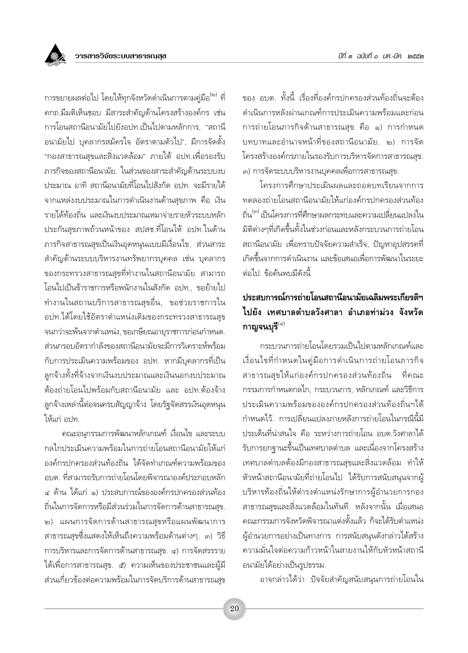การขยายผลต่อไป โดยให้ทุกจังหวัดดำเนินการตามคู่มือ<sup>(๒)</sup> ที่ ิดกถ.มีมติเห็นชอบ มีสาระสำคัญด้านโครงสร้างองค์กร เช่น การโอนสถานีอนามัยไปยังอปท เป็นไปตามหลักการ "สถานี ้อนามัยไป บุคลากรสมัครใจ อัตราตามตัวไป", มีการจัดตั้ง "กองสาธารณสุขและสิ่งแวดล้อม" ภายใต้ อปท.เพื่อรองรับ ภารกิจของสถานีอนามัย. ในส่วนของสาระสำคัญด้านระบบงบ ประมาณ อาทิ สถานีอนามัยที่โอนไปสังกัด อปท. จะมีรายได้ จากแหล่งงบประมาณในการดำเนินงานด้านสขภาพ คือ เงิน รายได้ท้องถิ่น และเงินงบประมาณเหมาจ่ายรายหัวระบบหลัก ประกันสุขภาพถ้วนหน้าของ สปสช.ที่โอนให้ อปท.ในด้าน ภารกิจสาธารณสุขเป็นเงินอุดหนุนแบบมีเงื่อนไข. ส่วนสาระ ้สำคัญด้านระบบบริหารงานทรัพยากรบุคคล เช่น บุคลากร ของกระทรวงสาธารณสุขที่ทำงานในสถานีอนามัย สามารถ โอนไปเป็นข้าราชการหรือพนักงานในสังกัด อปท., ขอย้ายไป ้ทำงานในสถานบริการสาธารณสุขอื่น, ขอช่วยราชการใน อปท.ได้โดยใช้อัตราตำแหน่งเดิมของกระทรวงสาธารณสุข จนกว่าจะพ้นจากตำแหน่ง, ขอเกษียณอายุราชการก่อนกำหนด. ส่วนกรอบอัตรากำลังของสถานีอนามัยจะมีการวิเคราะห์พร้อม ้กับการประเมินความพร้อมของ อปท. หากมีบุคลากรที่เป็น ลูกจ้างทั้งที่จ้างจากเงินงบประมาณและเงินนอกงบประมาณ ต้องถ่ายโอนไปพร้อมกับสถานีอนามัย และ อปท.ต้องจ้าง ลูกจ้างเหล่านี้ต่อจนครบสัญญาจ้าง โดยรัฐจัดสรรเงินอุดหนุน ให้แก่ อปท

คณะอนุกรรมการพัฒนาหลักเกณฑ์ เงื่อนไข และระบบ กลไกประเมินความพร้อมในการถ่ายโอนสถานีอนามัยให้แก่ องค์กรปกครองส่วนท้องถิ่น ได้จัดทำเกณฑ์ความพร้อมของ อบต. ที่สามารถรับการถ่ายโอนโดยพิจารณาองค์ประกอบหลัก ๔ ด้าน ได้แก่ ๑) ประสบการณ์ขององค์กรปกครองส่วนท้อง ถิ่นในการจัดการหรือมีส่วนร่วมในการจัดการด้านสาธารณสุข. ๒) แผนการจัดการด้านสาธารณสุขหรือแผนพัฒนาการ ิสาธารณสุขซึ่งแสดงให้เห็นถึงความพร้อมด้านต่างๆ. ๓) วิธี การบริหารและการจัดการด้านสาธารณสุข. ๔) การจัดสรรราย ได้เพื่อการสาธารณสุข. ๕) ความเห็นของประชาชนและผู้มี ส่วนเกี่ยวข้องต่อความพร้อมในการจัดบริการด้านสาธารณสุข

ของ อบต ทั้งนี้ เรื่องที่องค์กรปกครองส่วนท้องถิ่นจะต้อง ดำเนินการหลังผ่านเกณฑ์การประเมินความพร้อมและก่อน การถ่ายโอนภารกิจด้านสาธารณสุข คือ ๑) การกำหนด บทบาทและอำนาจหน้าที่ของสถานีอนามัย. ๒) การจัด โครงสร้างองค์กรภายในรองรับการบริหารจัดการสาธารณสุข. ...<br>๓) การจัดระบบบริหารงานบุคคลเพื่อการสาธารณสุข.

โครงการศึกษาประเมินผลและถอดบทเรียนจากการ ทดลองถ่ายโอนสถานีอนามัยให้แก่องค์กรปกครองส่วนท้อง ถิ่น<sup>(๓)</sup> เป็นโครงการที่ศึกษาผลกระทบและความเปลี่ยนแปลงใน มิติต่างๆที่เกิดขึ้นทั้งในช่วงก่อนและหลังกระบวนการถ่ายโอน ิสถานีอนามัย เพื่อทราบปัจจัยความสำเร็จ, ปัญหาอุปสรรคที่ เกิดขึ้นจากการดำเนินงาน และข้อเสนอเพื่อการพัฒนาในระยะ ต่อไป ข้อค้นพบมีดังนี้

#### าไระสบการณ์การถ่ายโอนสถานีอนามัยเฉลิมพระเกียรติฯ ไปยัง เทศบาลตำบลวังศาลา อำเภอท่าม่วง จังหวัด กาญจนบุรี $^{(\varpi)}$

กระบวนการถ่ายโอนโดยรวมเป็นไปตามหลักเกณฑ์และ เงื่อนไขที่กำหนดในคู่มือการดำเนินการถ่ายโอนภารกิจ สาธารณสขให้แก่องค์กรปกครองส่วนท้องถิ่น ที่คณะ กรรมการกำหนดกลไก. กระบวนการ. หลักเกณฑ์ และวิธีการ ประเมินความพร้อมขององค์กรปกครองส่วนท้องถิ่นฯได้ กำหนดไว้. การเปลี่ยนแปลงภายหลังการถ่ายโอนในกรณีนี้มี ้ำโระเด็นที่น่าสนใจ คือ ระหว่างการถ่ายโอน อบต.วังศาลาได้ ้รับการยกฐานะขึ้นเป็นเทศบาลตำบล และเนื่องจากโครงสร้าง ้เทศบาลตำบลต้องมีกองสาธารณสุขและสิ่งแวดล้อม ทำให้ ้หัวหน้าสถานีอนามัยที่ถ่ายโอนไป ได้รับการสนับสนุนจากผู้ บริหารท้องถิ่นให้ดำรงตำแหน่งรักษาการผู้อำนวยการกอง สาธารณสุขและสิ่งแวดล้อมในทันที. หลังจากนั้น เมื่อเสนอ คณะกรรมการจังหวัดพิจารณาแต่งตั้งแล้ว ก็จะได้รับตำแหน่ง ผู้อำนวยการอย่างเป็นทางการ การสนับสนุนดังกล่าวได้สร้าง ความมั่นใจต่อความก้าวหน้าในสายงานให้กับหัวหน้าสถานี อนามัยได้อย่างเป็นรูปธรรม.

อาจกล่าวได้ว่า ปัจจัยสำคัญสนับสนุนการถ่ายโอนใน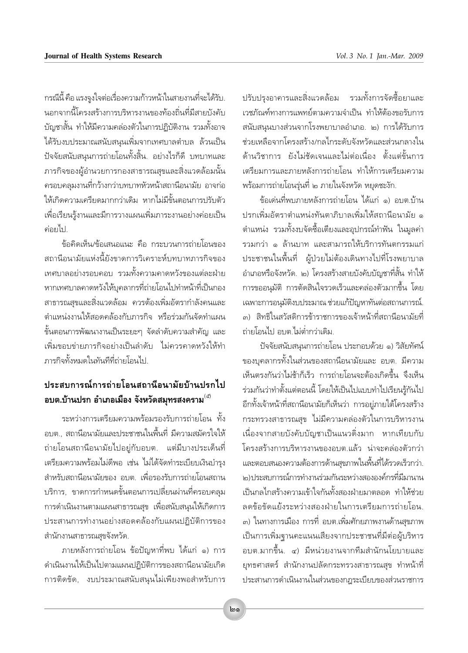กรณีนี้ คือ แรงจูงใจต่อเรื่องความก้าวหน้าในสายงานที่จะได้รับ. นอกจากนี้โครงสร้างการบริหารงานของท้องถิ่นที่มีสายบังคับ บัญชาสั้น ทำให้มีความคล่องตัวในการปฏิบัติงาน รวมทั้งอาจ ได้รับงบประมาณสนับสนุนเพิ่มจากเทศบาลตำบล ล้วนเป็น ปัจจัยสนับสนุนการถ่ายโอนทั้งสิ้น. อย่างไรก็ดี บทบาทและ .<br>ภารกิจของผู้อำนวยการกองสาธารณสุขและสิ่งแวดล้อมนั้น ้ครอบคลมงานที่กว้างกว่าบทบาทหัวหน้าสถานีอนามัย อาจก่อ ให้เกิดความเครียดมากกว่าเดิม หากไม่มีขั้นตอนการปรับตัว เพื่อเรียนรู้งานและมีการวางแผนเพิ่มภาระงานอย่างค่อยเป็น ค่อยไป

ข้อคิดเห็น/ข้อเสนอแนะ คือ กระบวนการถ่ายโอนของ สถานีอนามัยแห่งนี้ยังขาดการวิเคราะห์บทบาทภารกิจของ เทศบาลอย่างรอบคอบ รวมทั้งความคาดหวังของแต่ละฝ่าย หากเทศบาลคาดหวังให้บุคลากรที่ถ่ายโอนไปทำหน้าที่เป็นกอง สาธารณสุขและสิ่งแวดล้อม ควรต้องเพิ่มอัตรากำลังคนและ ตำแหน่งงานให้สอดคล้องกับภารกิจ หรือร่วมกันจัดทำแผน ขั้นตอนการพัฒนางานเป็นระยะๆ จัดลำดับความสำคัญ และ เพิ่มขอบข่ายภารกิจอย่างเป็นลำดับ ไม่ควรคาดหวังให้ทำ ภารกิจทั้งหมดในทันทีที่ถ่ายโอนไป

# ประสบการณ์การถ่ายโอนสถานีอนามัยบ้านปรกไป อบต.บ้านปรก อำเภอเมือง จังหวัดสมุทรสงคราม $^{(\vec{z})}$

ระหว่างการเตรียมความพร้อมรองรับการถ่ายโอน ทั้ง ้อบต.. สถานีอนามัยและประชาชนในพื้นที่ มีความสมัครใจให้ ถ่ายโอนสถานีอนามัยไปอยู่กับอบต. แต่มีบางประเด็นที่ เตรียมความพร้อมไม่ดีพอ เช่น ไม่ได้จัดทำระเบียบเงินบำรุง สำหรับสถานีอนามัยของ อบต. เพื่อรองรับการถ่ายโอนสถาน บริการ, ขาดการกำหนดขั้นตอนการเปลี่ยนผ่านที่ครอบคลม ้การดำเนินงานตามแผนสาธารณสุข เพื่อสนับสนุนให้เกิดการ ประสานการทำงานอย่างสอดคล้องกับแผนปฏิบัติการของ สำนักงานสาธารณสุขจังหวัด.

่ ภายหลังการถ่ายโอน ข้อปัญหาที่พบ ได้แก่ ๑) การ ดำเนินงานให้เป็นไปตามแผนปฏิบัติการของสถานีอนามัยเกิด การติดขัด, งบประมาณสนับสนุนไม่เพียงพอสำหรับการ ปรับปรุงอาคารและสิ่งแวดล้อม รวมทั้งการจัดซื้อยาและ เวชภัณฑ์ทางการแพทย์ตามความจำเป็น ทำให้ต้องขอรับการ สนับสนุนบางส่วนจากโรงพยาบาลอำเภอ. ๒) การได้รับการ ช่วยเหลือจากโครงสร้าง/กลไกระดับจังหวัดและส่วนกลางใน ด้านวิชาการ ยังไม่ชัดเจนและไม่ต่อเนื่อง ตั้งแต่ขั้นการ เตรียมการและภายหลังการถ่ายโอน ทำให้การเตรียมความ พร้อมการถ่ายโอนร่นที่ ๒ ภายในจังหวัด หยดชะงัก.

ข้อเด่นที่พบภายหลังการถ่ายโอน ได้แก่ ๑) อบต.บ้าน ปรกเพิ่มอัตราตำแหน่งทันตาภิบาลเพิ่มให้สถานีอนามัย ๑ ้ตำแหน่ง รวมทั้งงบจัดซื้อเตียงและอุปกรณ์ทำฟัน ในมูลค่า รวมกว่า ๑ ล้านบาท และสามารถให้บริการทันตกรรมแก่ ประชาชนในพื้นที่ ผ้ป่วยไม่ต้องเดินทางไปที่โรงพยาบาล อำเภอหรือจังหวัด. ๒) โครงสร้างสายบังคับบัญชาที่สั้น ทำให้ ิการขออนมัติ การตัดสินใจรวดเร็วและคล่องตัวมากขึ้น โดย เฉพาะการอนุมัติงบประมาณ ช่วยแก้ปัญหาทันต่อสถานการณ์. .<br>๓) สิทธิในสวัสดิการข้าราชการของเจ้าหน้าที่สถานีอนามัยที่ ถ่ายโอนไป อบต.ไม่ต่ำกว่าเดิม.

ปัจจัยสนับสนุนการถ่ายโอน ประกอบด้วย ๑) วิสัยทัศน์ ของบคลากรทั้งในส่วนของสถานีอนามัยและ อบต. มีความ เห็นตรงกันว่าไม่ช้าก็เร็ว การถ่ายโอนจะต้องเกิดขึ้น จึงเห็น ร่วมกันว่าทำตั้งแต่ตอนนี้ โดยให้เป็นไปแบบทำไปเรียนรู้กันไป ้อีกทั้งเจ้าหน้าที่สถานีอนามัยก็เห็นว่า การอยู่ภายใต้โครงสร้าง กระทรวงสาธารณสุข ไม่มีความคล่องตัวในการบริหารงาน เนื่องจากสายบังคับบัญชาเป็นแนวดิ่งมาก หากเทียบกับ โครงสร้างการบริหารงานของอบต.แล้ว น่าจะคล่องตัวกว่า และตอบสนองความต้องการด้านสุขภาพในพื้นที่ได้รวดเร็วกว่า. ๒)ประสบการณ์การทำงานร่วมกันระหว่างสององค์กรที่มีมานาน เป็นกลไกสร้างความเข้าใจกันทั้งสองฝ่ายมาตลอด ทำให้ช่วย ลดข้อขัดแย้งระหว่างสองฝ่ายในการเตรียมการถ่ายโอน. ี<sub>๓)</sub> ในทางการเมือง การที่ อบต.เพิ่มศักยภาพงานด้านสุขภาพ เป็นการเพิ่มฐานคะแนนเสียงจากประชาชนที่มีต่อผู้บริหาร ้อบต.มากขึ้น. ๔) มีหน่วยงานจากทีมสำนักนโยบายและ ยุทธศาสตร์ สำนักงานปลัดกระทรวงสาธารณสุข ทำหน้าที่ ประสานการดำเนินงานในส่วนของกฎระเบียบของส่วนราชการ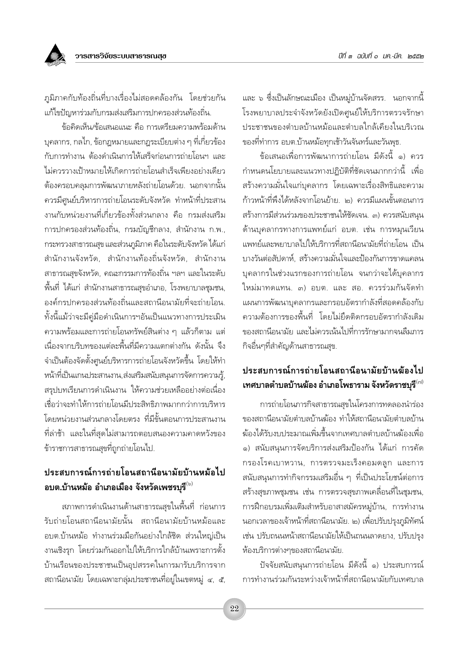

ภูมิภาคกับท้องถิ่นที่บางเรื่องไม่สอดคล้องกัน โดยช่วยกัน แก้ไขปัญหาร่วมกับกรมส่งเสริมการปกครองส่วนท้องถิ่น.

ข้อคิดเห็น/ข้อเสนอแนะ คือ การเตรียมความพร้อมด้าน ้บุคลากร, กลไก, ข้อกฎหมายและกฎระเบียบต่าง ๆ ที่เกี่ยวข้อง กับการทำงาน ต้องดำเนินการให้เสร็จก่อนการถ่ายโอนฯ และ ไม่ควรวางเป้าหมายให้เกิดการถ่ายโอนสำเร็จเพียงอย่างเดียว ์ต้องครอบคลมการพัฒนาภายหลังถ่ายโอนด้วย. นอกจากนั้น ิ ควรมีศูนย์บริหารการถ่ายโอนระดับจังหวัด ทำหน้าที่ประสาน งานกับหน่วยงานที่เกี่ยวข้องทั้งส่วนกลาง คือ กรมส่งเสริม การปกครองส่วนท้องถิ่น, กรมบัญชีกลาง, สำนักงาน ก.พ., ้กระทรวงสาธารณสุข และส่วนภูมิภาค คือในระดับจังหวัด ได้แก่ ้สำนักงานจังหวัด, สำนักงานท้องถิ่นจังหวัด, สำนักงาน สาธารณสุขจังหวัด, คณะกรรมการท้องถิ่น ฯลฯ และในระดับ ์พื้นที่ ได้แก่ สำนักงานสาธารณสุขอำเภอ, โรงพยาบาลชุมชน, องค์กรปกครองส่วนท้องถิ่นและสถานีอนามัยที่จะถ่ายโอน. ทั้งนี้แม้ว่าจะมีคู่มือดำเนินการฯอันเป็นแนวทางการประเมิน ้ความพร้อมและการถ่ายโอนทรัพย์สินต่าง ๆ แล้วก็ตาม แต่ เนื่องจากบริบทของแต่ละพื้นที่มีความแตกต่างกัน ดังนั้น จึง จำเป็นต้องจัดตั้งศูนย์บริหารการถ่ายโอนจังหวัดขึ้น โดยให้ทำ หน้าที่เป็นแกนประสานงาน,ส่งเสริมสนับสนุนการจัดการความรู้, สรปบทเรียนการดำเนินงาน ให้ความช่วยเหลืออย่างต่อเนื่อง เชื่อว่าจะทำให้การถ่ายโอนมีประสิทธิภาพมากกว่าการบริหาร โดยหน่วยงานส่วนกลางโดยตรง ที่มีขั้นตอนการประสานงาน ที่ล่าช้า และในที่สุดไม่สามารถตอบสนองความคาดหวังของ ข้าราชการสาธารณสุขที่ถูกถ่ายโอนไป.

# ประสบการณ์การถ่ายโอนสถานีอนามัยบ้านหม้อไป ือบต.บ้านหม้อ อำเภอเมือง จังหวัดเพชรบุรี $^{\text{\tiny{(\!\!\backslash\!\!)}}}$

ิสภาพการดำเนินงานด้านสาธารณสุขในพื้นที่ ก่อนการ ้รับถ่ายโอนสถานีอนามัยนั้น สถานีอนามัยบ้านหม้อและ อบต.บ้านหม้อ ทำงานร่วมมือกันอย่างใกล้ชิด ส่วนใหญ่เป็น งานเชิงรุก โดยร่วมกันออกไปให้บริการใกล้บ้านเพราะการตั้ง บ้านเรือนของประชาชนเป็นอุปสรรคในการมารับบริการจาก สถานีอนามัย โดยเฉพาะกลุ่มประชาชนที่อยู่ในเขตหมู่ ๔, ๕,

และ ๖ ซึ่งเป็นลักษณะเมือง เป็นหมู่บ้านจัดสรร. นอกจากนี้ โรงพยาบาลประจำจังหวัดยังเปิดศูนย์ให้บริการตรวจรักษา ประชาชนของตำบลบ้านหม้อและตำบลใกล้เคียงในบริเวณ ของที่ทำการ อบต.บ้านหม้อทุกเช้าวันจันทร์และวันพุธ.

ข้อเสนอเพื่อการพัฒนาการถ่ายโอน มีดังนี้ ๑) ควร กำหนดนโยบายและแนวทางปฏิบัติที่ชัดเจนมากกว่านี้ เพื่อ สร้างความมั่นใจแก่บคลากร โดยเฉพาะเรื่องสิทธิและความ ก้าวหน้าที่พึงได้หลังจากโอนย้าย. ๒) ควรมีแผนขั้นตอนการ สร้างการมีส่วนร่วมของประชาชนให้ชัดเจน. ๓) ควรสนับสนน ด้านบุคลากรทางการแพทย์แก่ อบต. เช่น การหมุนเวียน แพทย์และพยาบาลไปให้บริการที่สถานีอนามัยที่ถ่ายโอน เป็น ้บางวันต่อสัปดาห์, สร้างความมั่นใจและป้องกันการขาดแคลน บุคลากรในช่วงแรกของการถ่ายโอน จนกว่าจะได้บุคลากร ใหม่มาทดแทน. ๓) อบต. และ สอ. ควรร่วมกันจัดทำ แผนการพัฒนาบคลากรและกรอบอัตรากำลังที่สอดคล้องกับ ความต้องการของพื้นที่ โดยไม่ยึดติดกรอบอัตรากำลังเดิม ของสถานีอนามัย และไม่ควรเน้นไปที่การรักษามากจนลืมภาร กิจอื่นๆที่สำคัญด้านสาธารณสุข.

### ประสบการณ์การถ่ายโอนสถานีอนามัยบ้านฆ้องไป เทศบาลตำบลบ้านฆ้อง อำเภอโพธาราม จังหวัดราชบุรี $^{\scriptscriptstyle(\alpha)}$

การถ่ายโอนภารกิจสาธารณสุขในโครงการทดลองนำร่อง ของสถานีอนามัยตำบลบ้านฆ้อง ทำให้สถานีอนามัยตำบลบ้าน ฆ้องได้รับงบประมาณเพิ่มขึ้นจากเทศบาลตำบลบ้านฆ้องเพื่อ ๑) สนับสนุนการจัดบริการส่งเสริมป้องกัน ได้แก่ การคัด กรองโรคเบาหวาน, การตรวจมะเร็งคอมดลูก และการ สนับสนุนการทำกิจกรรมเสริมอื่น ๆ ที่เป็นประโยชน์ต่อการ สร้างสุขภาพชุมชน เช่น การตรวจสุขภาพเคลื่อนที่ในชุมชน, การฝึกอบรมเพิ่มเติมสำหรับอาสาสมัครหมู่บ้าน, การทำงาน นอกเวลาของเจ้าหน้าที่สถานีอนามัย. ๒) เพื่อปรับปรุงภูมิทัศน์ เช่น ปรับถนนหน้าสถานีอนามัยให้เป็นถนนลาดยาง, ปรับปรุง ห้องบริการต่างๆของสถานีอนามัย.

ปัจจัยสนับสนุนการถ่ายโอน มีดังนี้ ๑) ประสบการณ์ การทำงานร่วมกันระหว่างเจ้าหน้าที่สถานีอนามัยกับเทศบาล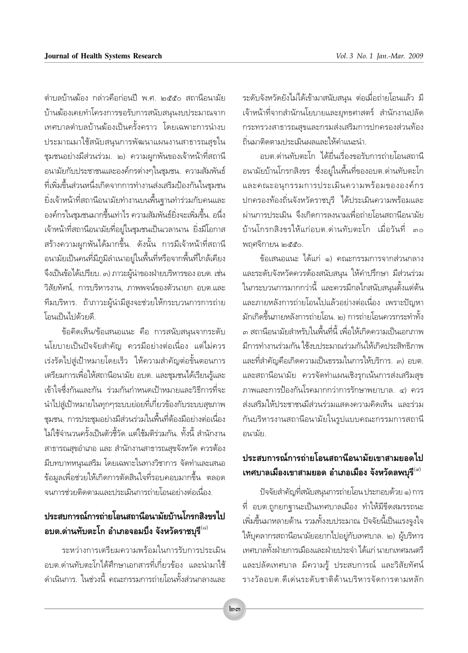้ตำบลบ้านฆ้อง กล่าวคือก่อนปี พ.ศ. ๒๕๕๐ สถานีอนามัย บ้านฆ้องเคยทำโครงการขอรับการสนับสนุนงบประมาณจาก เทศบาลตำบลบ้านฆ้องเป็นครั้งคราว โดยเฉพาะการนำงบ ประมาณมาใช้สนับสนุนการพัฒนาแผนงานสาธารณสุขใน ชุมชนอย่างมีส่วนร่วม. ๒) ความผูกพันของเจ้าหน้าที่สถานี ้อนามัยกับประชาชนและองค์กรต่างๆในชุมชน. ความสัมพันธ์ ที่เพิ่มขึ้นส่วนหนึ่งเกิดจากการทำงานส่งเสริมป้องกันในชมชน ยิ่งเจ้าหน้าที่สถานีอนามัยทำงานบนพื้นฐานทำร่วมกับคนและ ้องค์กรในชมชนมากขึ้นเท่าไร ความสัมพันธ์ยิ่งจะเพิ่มขึ้น. อนึ่ง เจ้าหน้าที่สถานีอนามัยที่อยู่ในชุมชนเป็นเวลานาน ยิ่งมีโอกาส สร้างความผูกพันได้มากขึ้น. ดังนั้น การมีเจ้าหน้าที่สถานี อนามัยเป็นคนที่มีภูมิลำเนาอยู่ในพื้นที่หรือจากพื้นที่ใกล้เคียง จึงเป็นข้อได้เปรียบ. ๓) ภาวะผู้นำของฝ่ายบริหารของ อบต. เช่น วิสัยทัศน์, การบริหารงาน, ภาพพจน์ของตัวนายก อบต.และ ้ทีมบริหาร. ถ้าภาวะผู้นำมีสูงจะช่วยให้กระบวนการการถ่าย โอนเป็นไปด้วยดี

ข้อคิดเห็น/ข้อเสนอแนะ คือ การสนับสนุนจากระดับ นโยบายเป็นปัจจัยสำคัญ ควรมีอย่างต่อเนื่อง แต่ไม่ควร เร่งรัดไปสู่เป้าหมายโดยเร็ว ให้ความสำคัญต่อขั้นตอนการ เตรียมการเพื่อให้สถานีอนามัย อบต. และชมชนได้เรียนรู้และ เข้าใจซึ่งกันและกัน ร่วมกันกำหนดเป้าหมายและวิธีการที่จะ นำไปสู่เป้าหมายในทุกๆระบบย่อยที่เกี่ยวข้องกับระบบสุขภาพ ชุมชน, การประชุมอย่างมีส่วนร่วมในพื้นที่ต้องมีอย่างต่อเนื่อง ไม่ใช้จำนวนครั้งเป็นตัวชี้วัด แต่ใช้มติร่วมกัน ทั้งนี้ สำนักงาน สาธารณสุขอำเภอ และ สำนักงานสาธารณสุขจังหวัด ควรต้อง มีบทบาทหนุนเสริม โดยเฉพาะในทางวิชาการ จัดทำและเสนอ ข้อมลเพื่อช่วยให้เกิดการตัดสินใจที่รอบคอบมากขึ้น ตลอด จนการช่วยติดตามและประเมินการถ่ายโอนอย่างต่อเนื่อง.

### ประสบการณ์การถ่ายโอนสถานีอนามัยบ้านโกรกสิงขรไป อบต.ด่านทับตะโก อำเภอจอมบึ้ง จังหวัดราชบุรี $^{\scriptscriptstyle(\vec{\alpha})}$

ระหว่างการเตรียมความพร้อมในการรับการประเมิน อบต ด่านทับตะโกได้ศึกษาเอกสารที่เกี่ยวข้อง และนำมาใช้ ดำเนินการ. ในช่วงนี้ คณะกรรมการถ่ายโอนทั้งส่วนกลางและ ระดับจังหวัดยังไม่ได้เข้ามาสนับสนุน ต่อเมื่อถ่ายโอนแล้ว มี เจ้าหน้าที่จากสำนักนโยบายและยุทธศาสตร์ สำนักงานปลัด กระทรวงสาธารณสขและกรมส่งเสริมการปกครองส่วนท้อง ถิ่นมาติดตามประเมินผลและให้คำแนะนำ.

้อบต ด่านทับตะโก ได้ยื่นเรื่องขอรับการถ่ายโอนสถานี ้อนามัยบ้านโกรกสิงขร ซึ่งอยู่ในพื้นที่ของอบต.ด่านทับตะโก และคณะอนุกรรมการประเมินความพร้อมขององค์กร ีปกครองท้องถิ่นจังหวัดราชบุรี ได้ประเมินความพร้อมและ ผ่านการประเมิน จึงเกิดการลงนามเพื่อถ่ายโอนสถานีอนามัย บ้านโกรกสิงขรให้แก่อบต ด่านทับตะโก เมื่อวันที่ ๓๐ พฤศจิกายน ๒๕๕๐.

ข้อเสนอแนะ ได้แก่ ๑) คณะกรรมการจากส่วนกลาง และระดับจังหวัดควรต้องสนับสนุน ให้คำปรึกษา มีส่วนร่วม ในกระบวนการมากกว่านี้ และควรมีกลไกสนับสนุนตั้งแต่ต้น และภายหลังการถ่ายโอนไปแล้วอย่างต่อเนื่อง เพราะปัญหา มักเกิดขึ้นภายหลังการถ่ายโอน. ๒) การถ่ายโอนควรกระทำทั้ง .๓ สถานีอนามัยสำหรับในพื้นที่นี้ เพื่อให้เกิดความเป็นเอกภาพ มีการทำงานร่วมกัน ใช้งบประมาณร่วมกันให้เกิดประสิทธิภาพ และที่สำคัญคือเกิดความเป็นธรรมในการให้บริการ. ๓) อบต. และสถานีอนามัย ควรจัดทำแผนเชิงรุกเน้นการส่งเสริมสุข ้ภาพและการป้องกันโรคมากกว่าการรักษาพยาบาล, ๔) ควร ส่งเสริมให้ประชาชนมีส่วนร่วมแสดงความคิดเห็น และร่วม กันบริหารงานสถานีอนามัยในรูปแบบคณะกรรมการสถานี ลบาบัย

### ประสบการณ์การถ่ายโอนสถานีอนามัยเขาสามยอดไป เทศบาลเมืองเขาสามยอด อำเภอเมือง จังหวัดลพบุรี $^{\text{\tiny{(\alpha)}}}$

ปัจจัยสำคัญที่สนับสนุนการถ่ายโอน ประกอบด้วย ๑) การ ู้ที่ อบต.ถูกยกฐานะเป็นเทศบาลเมือง ทำให้มีขีดสมรรถนะ เพิ่มขึ้นมาหลายด้าน รวมทั้งงบประมาณ ปัจจัยนี้เป็นแรงจูงใจ ให้บุคลากรสถานีอนามัยอยากไปอยู่กับเทศบาล. ๒) ผู้บริหาร เทศบาลทั้งฝ่ายการเมืองและฝ่ายประจำ ได้แก่ นายกเทศมนตรี และปลัดเทศบาล มีความรู้ ประสบการณ์ และวิสัยทัศน์ รางวัลอบต.ดีเด่นระดับชาติด้านบริหารจัดการตามหลัก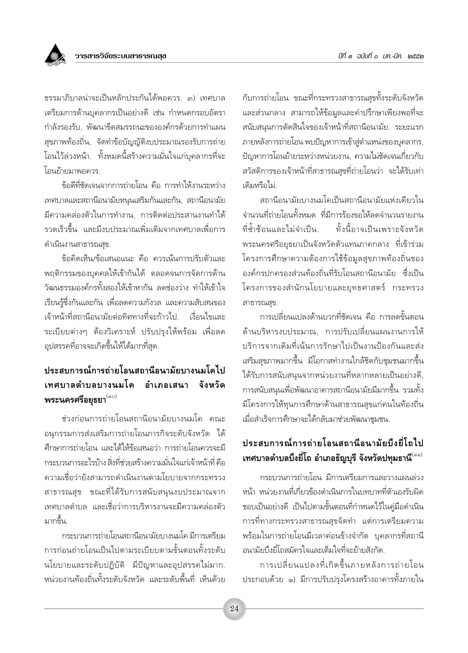

ิธรรมาภิบาลน่าจะเป็นหลักประกันได้พอควร ๓) เทศบาล เตรียมการด้านบุคลากรเป็นอย่างดี เช่น กำหนดกรอบอัตรา กำลังรองรับ, พัฒนาขีดสมรรถนะขององค์กรด้วยการทำแผน สุขภาพท้องถิ่น, จัดทำข้อบัญญัติงบประมาณรองรับการถ่าย โอนไว้ล่วงหน้า. ทั้งหมดนี้สร้างความมั่นใจแก่บุคลากรที่จะ โอนย้ำยมาพอควร

ข้อดีที่ชัดเจนจากการถ่ายโอน คือ การทำให้งานระหว่าง เทศบาลและสถานีอนามัยหนุนเสริมกันและกัน, สถานีอนามัย ้มีความคล่องตัวในการทำงาน. การติดต่อประสานงานทำได้ ้รวดเร็วขึ้น และมีงบประมาณเพิ่มเติมจากเทศบาลเพื่อการ ดำเนินงานสาธารณสุข.

ข้อคิดเห็น/ข้อเสนอแนะ คือ ควรเน้นการปรับตัวและ พฤติกรรมของบคคลให้เข้ากันได้ ตลอดจนการจัดการด้าน วัฒนธรรมองค์กรทั้งสองให้เข้าหากัน ลดช่องว่าง ทำให้เข้าใจ เรียนรู้ซึ่งกันและกัน เพื่อลดความกังวล และความสับสนของ เจ้าหน้าที่สถานีอนามัยต่อทิศทางที่จะก้าวไป เงื่อนไขและ ระเบียบต่างๆ ต้องวิเคราะห์ ปรับปรุงให้พร้อม เพื่อลด อุปสรรคที่อาจจะเกิดขึ้นให้ได้มากที่สุด.

#### ประสบการณ์การถ่ายโอนสถานีอนามัยบางนมโคไป เทศบาลตำบลบางนมโค คำเภคเสนา ลังหวัด พระนครศรีอยุธยา $^{(\circ\circ)}$

ช่วงก่อนการถ่ายโอนสถานีอนามัยบางนมโค คณะ ้อนุกรรมการส่งเสริมการถ่ายโอนภารกิจระดับจังหวัด ได้ ้ศึกษาการถ่ายโอน และได้ให้ข้อเสนอว่า การถ่ายโอนควรจะมี กระบวนการอะไรบ้าง สิ่งที่ช่วยสร้างความมั่นใจแก่เจ้าหน้าที่ คือ ความเชื่อว่ายังสามารถดำเนินงานตามโยบายจากกระทรวง สาธารณสุข ขณะที่ได้รับการสนับสนุนงบประมาณจาก ้เทศบาลตำบล และเชื่อว่าการบริหารงานจะมีความคล่องตัว มากขึ้น

กระบวนการถ่ายโอนสถานีอนามัยบางนมโค มีการเตรียม การก่อนถ่ายโอนเป็นไปตามระเบียบตามขั้นตอนทั้งระดับ นโยบายและระดับปฏิบัติ มีปัญหาและอุปสรรคไม่มาก. หน่วยงานท้องถิ่นทั้งระดับจังหวัด และระดับพื้นที่ เห็นด้วย

กับการถ่ายโอน ขณะที่กระทรวงสาธารณสุขทั้งระดับจังหวัด และส่วนกลาง สามารถให้ข้อมูลและคำปรึกษาเพียงพอที่จะ สนับสนนการตัดสินใจของเจ้าหน้าที่สถานีอนามัย. ระยะแรก ภายหลังการถ่ายโอน พบปัญหาการเข้าสู่ตำแหน่งของบุคลากร, ้ปัญหาการโอนย้ายระหว่างหน่วยงาน, ความไม่ชัดเจนเกี่ยวกับ สวัสดิการของเจ้าหน้าที่สาธารณสุขที่ถ่ายโอนว่า จะได้รับเท่า เดิมหรือไม่

สถานีอนามัยบางนมโคเป็นสถานีอนามัยแห่งเดียวใน จำนวนที่ถ่ายโอนทั้งหมด ที่มีการร้องขอให้ลดจำนวนรายงาน ที่ซ้ำซ้อนและไม่จำเป็น ทั้งนี้อาจเป็นเพราะจังหวัด ิพระนครศรีอยุธยาเป็นจังหวัดตัวแทนภาคกลาง ที่เข้าร่วม โครงการศึกษาความต้องการใช้ข้อมูลสุขภาพท้องถิ่นของ องค์กรปกครองส่วนท้องถิ่นที่รับโอนสถานีอนามัย ซึ่งเป็น โครงการของสำนักนโยบายและยุทธศาสตร์ กระทรวง สาธารณสข.

้การเปลี่ยนแปลงด้านบวกที่ชัดเจน คือ การลดขั้นตอน ด้านบริหารงบประมาณ. การปรับเปลี่ยนแผนงานการให้ บริการจากเดิมที่เน้นการรักษาไปเป็นงานป้องกันและส่ง เสริมสุขภาพมากขึ้น มีโอกาสทำงานใกล้ชิดกับชุมชนมากขึ้น ได้รับการสนับสนุนจากหน่วยงานที่หลากหลายเป็นอย่างดี, การสนับสนุนเพื่อพัฒนาอาคารสถานีอนามัยมีมากขึ้น รวมทั้ง มีโครงการให้ทุนการศึกษาด้านสาธารณสุขแก่คนในท้องถิ่น เมื่อสำเร็จการศึกษาจะได้กลับมาช่วยพัฒนาชุมชน.

### ประสบการณ์การถ่ายโอนสถานีอนามัยบึงยี่โถไป เทศบาลตำบลบึงยี่โถ อำเภอธัญบุรี จังหวัดปทุมธานี่<sup>(๑๑)</sup>

กระบวนการถ่ายโอน มีการเตรียมการและวางแผนล่วง หน้า หน่วยงานที่เกี่ยวข้องดำเนินการในบทบาทที่ตัวเองรับผิด ชอบเป็นอย่างดี เป็นไปตามขั้นตอนที่กำหนดไว้ในคู่มือดำเนิน การที่ทางกระทรวงสาธารณสุขจัดทำ แต่การเตรียมความ ิพร้อมในการถ่ายโอนมีเวลาค่อนข้างจำกัด บุคลากรที่สถานี อนามัยบึงยี่โถสมัครใจและเต็มใจที่จะย้ายสังกัด.

การเปลี่ยนแปลงที่เกิดขึ้นภายหลังการถ่ายโอน ประกอบด้วย ๑) มีการปรับปรุงโครงสร้างอาคารทั้งภายใน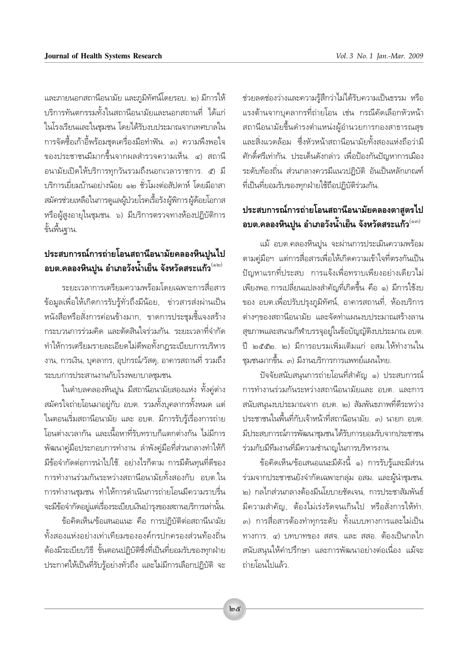และภายนอกสถานีอนามัย และภูมิทัศน์โดยรอบ. ๒) มีการให้ ้บริการทันตกรรมทั้งในสถานีอนามัยและนอกสถานที่ ได้แก่ ในโรงเรียนและในชมชน โดยได้รับงบประมาณจากเทศบาลใน การจัดซื้อเก้าอี้พร้อมชุดเครื่องมือทำฟัน. ๓) ความพึงพอใจ ของประชาชนมีมากขึ้นจากผลสำรวจความเห็น. ๔) สถานี ้อนามัยเปิดให้บริการทุกวันรวมถึงนอกเวลาราชการ. ๕) มี บริการเยี่ยมบ้านอย่างน้อย ๑๒ ชั่วโมงต่อสัปดาห์ โดยมีอาสา สมัครช่วยเหลือในการดูแลผู้ป่วยโรคเรื้อรังผู้พิการผู้ด้อยโอกาส หรือผู้สูงอายุในชุมชน. ๖) มีบริการตรวจทางห้องปฏิบัติการ ขั้นพื้นฐาน.

### ประสบการณ์การถ่ายโอนสถานีอนามัยคลองหินปูนไป ือบต.คลองหินปูน อำเภอวังน้ำเย็น จังหวัดสระแก้ว<sup>(๑๒)</sup>

ระยะเวลาการเตรียมความพร้อมโดยเฉพาะการสื่อสาร ข้อมูลเพื่อให้เกิดการรับรู้ทั่วถึงมีน้อย, ข่าวสารส่งผ่านเป็น หนังสือหรือสั่งการค่อนข้างมาก, ขาดการประชุมชี้แจงสร้าง กระบวนการร่วมคิด และตัดสินใจร่วมกัน. ระยะเวลาที่จำกัด ทำให้การเตรียมรายละเอียดไม่ดีพอทั้งกฎระเบียบการบริหาร งาน, การเงิน, บุคลากร, อุปกรณ์/วัสดุ, อาคารสถานที่ รวมถึง ระบบการประสานงานกับโรงพยาบาลชุมชน.

ในตำบลคลองหินปูน มีสถานีอนามัยสองแห่ง ทั้งคู่ต่าง สมัครใจถ่ายโอนมาอยู่กับ อบต. รวมทั้งบุคลากรทั้งหมด แต่ ในตอนเริ่มสถานีอนามัย และ อบต. มีการรับรู้เรื่องการถ่าย โอนต่างเวลากัน และเนื้อหาที่รับทราบก็แตกต่างกัน ไม่มีการ ้พัฒนาคู่มือประกอบการทำงาน ลำพังคู่มือที่ส่วนกลางทำให้ก็ มีข้อจำกัดต่อการนำไปใช้. อย่างไรก็ตาม การมีต้นทุนที่ดีของ ิการทำงานร่วมกันระหว่างสถานีอนามัยทั้งสองกับ อบต.ใน การทำงานชมชน ทำให้การดำเนินการถ่ายโอนมีความราบรื่น จะมีข้อจำกัดอยู่แต่เรื่องระเบียบเงินบำรุงของสถานบริการเท่านั้น.

ข้อคิดเห็น/ข้อเสนอแนะ คือ การปฏิบัติต่อสถานีนามัย ทั้งสองแห่งอย่างเท่าเทียมขององค์กรปกครองส่วนท้องถิ่น ต้องมีระเบียบวิธี ขั้นตอนปฏิบัติซึ่งที่เป็นที่ยอมรับของทุกฝ่าย ประกาศให้เป็นที่รับรู้อย่างทั่วถึง และไม่มีการเลือกปฏิบัติ จะ

ช่วยลดช่องว่างและความรู้สึกว่าไม่ได้รับความเป็นธรรม หรือ แรงต้านจากบุคลากรที่ถ่ายโอน เช่น กรณีคัดเลือกหัวหน้า สถานีอนามัยขึ้นดำรงตำแหน่งผู้อำนวยการกองสาธารณสุข และสิ่งแวดล้อม ซึ่งหัวหน้าสถานีอนามัยทั้งสองแห่งถือว่ามี ศักดิ์ศรีเท่ากัน. ประเด็นดังกล่าว เพื่อป้องกันปัญหาการเมือง ระดับท้องถิ่น ส่วนกลางควรมีแนวปฏิบัติ อันเป็นหลักเกณฑ์ ที่เป็นที่ยอมรับของทุกฝ่ายใช้ถือปฏิบัติร่วมกัน.

# ประสบการณ์การถ่ายโอนสถานีอนามัยคลองตาสูตรไป อบต.คลองหินปูน อำเภอวังน้ำเย็น จังหวัดสระแก้ว<sup>(๑๓)</sup>

แม้ อบต.คลองหินปูน จะผ่านการประเมินความพร้อม ตามคู่มือฯ แต่การสื่อสารเพื่อให้เกิดความเข้าใจที่ตรงกันเป็น ปัญหาแรกที่ประสบ การแจ้งเพื่อทราบเพียงอย่างเดียวไม่ เพียงพอ การเปลี่ยนแปลงสำคัญที่เกิดขึ้น คือ ๑) มีการใช้งบ ของ อบต.เพื่อปรับปรุงภูมิทัศน์, อาคารสถานที่, ห้องบริการ ต่างๆของสถานีอนามัย และจัดทำแผนงบประมาณสร้างลาน สุขภาพและสนามกีฬาบรรจุอยู่ในข้อบัญญัติงบประมาณ อบต. ปี ๒๕๕๒. ๒) มีการอบรมเพิ่มเติมแก่ อสม.ให้ทำงานใน ชุมชนมากขึ้น. ๓) มีงานบริการการแพทย์แผนไทย.

ปัจจัยสนับสนนการถ่ายโอนที่สำคัญ ๑) ประสบการณ์ การทำงานร่วมกันระหว่างสถานีอนามัยและ อบต. และการ สนับสนุนงบประมาณจาก อบต. ๒) สัมพันธภาพที่ดีระหว่าง ประชาชนในพื้นที่กับเจ้าหน้าที่สถานีอนามัย. ๓) นายก อบต. มีประสบการณ์การพัฒนาชุมชน ได้รับการยอมรับจากประชาชน ร่วมกับมีทีมงานที่มีความชำนาญในการบริหารงาน.

ข้อคิดเห็น/ข้อเสนอแนะมีดังนี้ ๑) การรับรู้และมีส่วน ร่วมจากประชาชนยังจำกัดเฉพาะกลุ่ม อสม. และผู้นำชุมชน. ๒) กลไกส่วนกลางต้องมีนโยบายชัดเจน. การประชาสัมพันธ์ มีความสำคัญ, ต้องไม่เร่งรัดจนเกินไป หรือสั่งการให้ทำ. ๓) การสื่อสารต้องทำทุกระดับ ทั้งแบบทางการและไม่เป็น ทางการ. ๔) บทบาทของ สสจ. และ สสอ. ต้องเป็นกลไก สนับสนุนให้คำปรึกษา และการพัฒนาอย่างต่อเนื่อง แม้จะ ถ่ายโอนไปแล้ว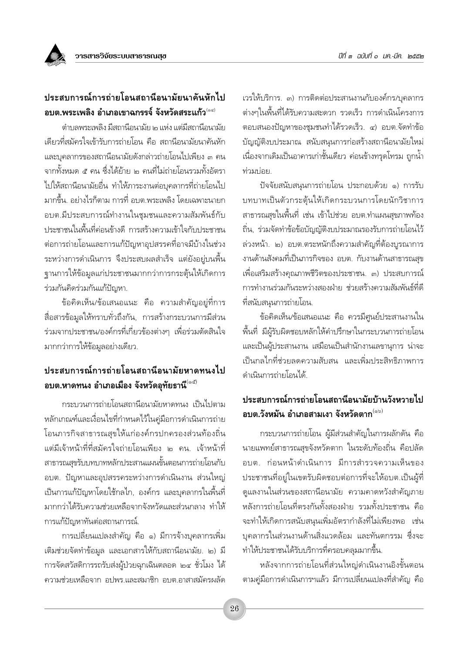# ประสบการณ์การถ่ายโอนสถานีอนามัยนาคันหักไป ือบต.พระเพลิง อำเภอเขาฉกรรจ์ จังหวัดสระแก้ว<sup>(๑๔)</sup>

ตำบลพระเพลิง มีสถานีอนามัย ๒ แห่ง แต่มีสถานีอนามัย เดียวที่สมัครใจเข้ารับการถ่ายโอน คือ สถานีอนามัยนาคันหัก และบุคลากรของสถานีอนามัยดังกล่าวถ่ายโอนไปเพียง ๓ คน จากทั้งหมด ๕ คน ซึ่งได้ย้าย ๒ คนที่ไม่ถ่ายโอนรวมทั้งอัตรา ไปให้สถานีอนามัยอื่น ทำให้ภาระงานต่อบคลากรที่ถ่ายโอนไป มากขึ้น. อย่างไรก็ตาม การที่ อบต.พระเพลิง โดยเฉพาะนายก อบต.มีประสบการณ์ทำงานในชมชนและความสัมพันธ์กับ ้ำโระชาชนในพื้นที่ค่อนข้างดี การสร้างความเข้าใจกับประชาชน ต่อการถ่ายโอนและการแก้ปัญหาอุปสรรคที่อาจมีบ้างในช่วง ระหว่างการดำเนินการ จึงประสบผลสำเร็จ แต่ยังอยู่บนพื้น จานการให้ข้อมูลแก่ประชาชนมากกว่าการกระตุ้นให้เกิดการ ร่วมกันคิดร่วมกันแก้ปัญหา.

ข้อคิดเห็น/ข้อเสนอแนะ คือ ความสำคัญอยู่ที่การ ้สื่อสารข้อมูลให้ทราบทั่วถึงกัน, การสร้างกระบวนการมีส่วน ร่วมจากประชาชน/องค์กรที่เกี่ยวข้องต่างๆ เพื่อร่วมตัดสินใจ มากกว่าการให้ข้อมูลอย่างเดียว.

# ประสบการณ์การถ่ายโอนสถานีอนามัยหาดทนงไป อบต.หาดทนง อำเภอเมือง จังหวัดอุทัยธานี $^{\left(\phi\vec{\alpha}\right)}$

กระบวนการถ่ายโอนสถานีอนามัยหาดทนง เป็นไปตาม หลักเกณฑ์และเงื่อนไขที่กำหนดไว้ในคู่มือการดำเนินการถ่าย โอนภารกิจสาธารณสุขให้แก่องค์กรปกครองส่วนท้องถิ่น แต่มีเจ้าหน้าที่ที่สมัครใจถ่ายโอนเพียง ๒ คน. เจ้าหน้าที่ สาธารณสุขรับบทบาทหลักประสานแผนขั้นตอนการถ่ายโอนกับ ้อบต. ปัญหาและอุปสรรคระหว่างการดำเนินงาน ส่วนใหญ่ เป็นการแก้ปัญหาโดยใช้กลไก, องค์กร และบุคลากรในพื้นที่ ้มากกว่าได้รับความช่วยเหลือจากจังหวัดและส่วนกลาง ทำให้ การแก้ปัญหาทันต่อสถานการณ์.

การเปลี่ยนแปลงสำคัญ คือ ๑) มีการจ้างบุคลากรเพิ่ม เติมช่วยจัดทำข้อมูล และเอกสารให้กับสถานีอนามัย. ๒) มี การจัดสวัสดิการรถรับส่งผ้ป่วยฉกเฉินตลอด ๒๔ ชั่วโมง ได้ ความช่วยเหลือจาก อปพร.และสมาชิก อบต.อาสาสมัครผลัด เวรให้บริการ. ๓) การติดต่อประสานงานกับองค์กร/บคลากร ต่างๆในพื้นที่ได้รับความสะดวก รวดเร็ว การดำเนินโครงการ ตอบสนองปัญหาของชมชนทำได้รวดเร็ว. ๔) อบต.จัดทำข้อ บัญญัติงบประมาณ สนับสนุนการก่อสร้างสถานีอนามัยใหม่ เนื่องจากเดิมเป็นอาคารเก่าชั้นเดียว ค่อนข้างทรุดโทรม ถูกน้ำ ท่วมบ่อย.

ปัจจัยสนับสนนการถ่ายโอน ประกอบด้วย ๑) การรับ บทบาทเป็นตัวกระตุ้นให้เกิดกระบวนการโดยนักวิชาการ สาธารณสุขในพื้นที่ เช่น เข้าไปช่วย อบต.ทำแผนสุขภาพท้อง ถิ่น, ร่วมจัดทำข้อข้อบัญญัติงบประมาณรองรับการถ่ายโอนไว้ ล่วงหน้า. ๒) อบต.ตระหนักถึงความสำคัญที่ต้องบูรณาการ งานด้านสังคมที่เป็นภารกิจของ อบต. กับงานด้านสาธารณสุข เพื่อเสริมสร้างคุณภาพชีวิตของประชาชน. ๓) ประสบการณ์ การทำงานร่วมกันระหว่างสองฝ่าย ช่วยสร้างความสัมพันธ์ที่ดี ที่สนับสนนการถ่ายโอน.

ข้อคิดเห็น/ข้อเสนอแนะ คือ ควรมีศูนย์ประสานงานใน ้พื้นที่ มีผู้รับผิดชอบหลักให้คำปรึกษาในกระบวนการถ่ายโอน และเป็นผู้ประสานงาน เสมือนเป็นสำนักงานเลขานุการ น่าจะ เป็นกลไกที่ช่วยลดความสับสน และเพิ่มประสิทธิภาพการ ดำเนินการถ่ายโอนได้

#### ประสบการณ์การถ่ายโอนสถานีอนามัยบ้านวังหวายไป ือบต.วังหมัน อำเภอสามเงา จังหวัดตาก<sup>(๑๖)</sup>

กระบวนการถ่ายโอน ผู้มีส่วนสำคัญในการผลักดัน คือ นายแพทย์สาธารณสุขจังหวัดตาก ในระดับท้องถิ่น คือปลัด ้อบต. ก่อนหน้าดำเนินการ มีการสำรวจความเห็นของ ประชาชนที่อยู่ในเขตรับผิดชอบต่อการที่จะให้อบต.เป็นผู้ที่ ดูแลงานในส่วนของสถานีอนามัย ความคาดหวังสำคัญภาย หลังการถ่ายโอนที่ตรงกันทั้งสองฝ่าย รวมทั้งประชาชน คือ จะทำให้เกิดการสนับสนุนเพิ่มอัตรากำลังที่ไม่เพียงพอ เช่น ิบุคลากรในส่วนงานด้านสิ่งแวดล้อม และทันตกรรม ซึ่งจะ ทำให้ประชาชนได้รับบริการที่ครอบคลุมมากขึ้น.

หลังจากการถ่ายโอนที่ส่วนใหญ่ดำเนินงานอิงขั้นตอน ตามคู่มือการดำเนินการฯแล้ว มีการเปลี่ยนแปลงที่สำคัญ คือ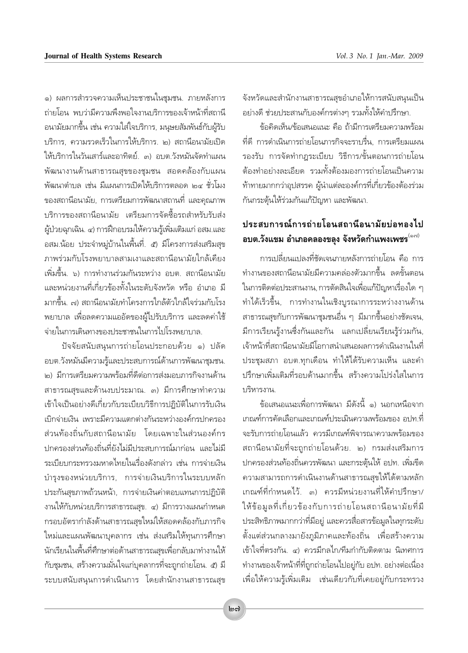๑) ผลการสำรวจความเห็นประชาชนในชมชน. ภายหลังการ ถ่ายโอน พบว่ามีความพึ่งพอใจงานบริการของเจ้าหน้าที่สถานี ้อนามัยมากขึ้น เช่น ความใส่ใจบริการ, มนุษยสัมพันธ์กับผู้รับ บริการ, ความรวดเร็วในการให้บริการ, ๒) สถานีอนามัยเปิด ให้บริการในวันเสาร์และอาทิตย์. ๓) อบต.วังหมันจัดทำแผน ์พัฒนางานด้านสาธารณสุขของชุมชน สอดคล้องกับแผน ้พัฒนาตำบล เช่น มีแผนการเปิดให้บริการตลอด ๒๔ ชั่วโมง ่ ของสถานีอนามัย. การเตรียมการพัฒนาสถานที่ และคณภาพ ำเริการของสถานีอนามัย เตรียมการจัดซื้อรถสำหรับรับส่ง ผู้ป่วยฉุกเฉิน. ๔) การฝึกอบรมให้ความรู้เพิ่มเติมแก่ อสม.และ ้อสม.น้อย ประจำหมู่บ้านในพื้นที่. ๕) มีโครงการส่งเสริมสุข ภาพร่วมกับโรงพยาบาลสามเงาและสถานีอนามัยใกล้เคียง ้เพิ่มตื้น ๖) การทำงานร่วมกันระหว่าง อบต. สถานีอนามัย และหน่วยงานที่เกี่ยวข้องทั้งในระดับจังหวัด หรือ อำเภอ มี มากขึ้น. ๗) สถานีอนามัยทำโครงการใกล้ตัวใกล้ใจร่วมกับโรง ้พยาบาล เพื่อลดความแออัดของผู้ไปรับบริการ และลดค่าใช้ จ่ายในการเดินทางของประชาชนในการไปโรงพยาบาล

ปัจจัยสนับสนุนการถ่ายโอนประกอบด้วย ๑) ปลัด ้อบต.วังหมันมีความรู้และประสบการณ์ด้านการพัฒนาชุมชน. ๒) มีการเตรียมความพร้อมที่ดีต่อการส่งมอบภารกิจงานด้าน สาธารณสุขและด้านงบประมาณ. ๓) มีการศึกษาทำความ เข้าใจเป็นอย่างดีเกี่ยวกับระเบียบวิธีการปฏิบัติในการรับเงิน เบิกจ่ายเงิน เพราะมีความแตกต่างกันระหว่างองค์กรปกครอง ส่วนท้องถิ่นกับสถานีอนามัย โดยเฉพาะในส่วนองค์กร ปกครองส่วนท้องถิ่นที่ยังไม่มีประสบการณ์มาก่อน และไม่มี ระเบียบกระทรวงมหาดไทยในเรื่องดังกล่าว เช่น การจ่ายเงิน บำรุงของหน่วยบริการ, การจ่ายเงินบริการในระบบหลัก ประกันสุขภาพถ้วนหน้า, การจ่ายเงินค่าตอบแทนการปฏิบัติ งานให้กับหน่วยบริการสาธารณสุข. ๔) มีการวางแผนกำหนด กรอบอัตรากำลังด้านสาธารณสุขใหม่ให้สอดคล้องกับภารกิจ ใหม่และแผนพัฒนาบุคลากร เช่น ส่งเสริมให้ทุนการศึกษา ้นักเรียนในพื้นที่ศึกษาต่อด้านสาธารณสุขเพื่อกลับมาทำงานให้ กับชุมชน, สร้างความมั่นใจแก่บุคลากรที่จะถูกถ่ายโอน. ๕) มี ระบบสนับสนุนการดำเนินการ โดยสำนักงานสาธารณสุข จังหวัดและสำนักงานสาธารณสุขอำเภอให้การสนับสนุนเป็น อย่างดี ช่วยประสานกับองค์กรต่างๆ รวมทั้งให้คำปรึกษา.

ข้อคิดเห็น/ข้อเสนอแนะ คือ ถ้ามีการเตรียมความพร้อม ที่ดี การดำเนินการถ่ายโอนภารกิจจะราบรื่น. การเตรียมแผน รองรับ การจัดทำกฎระเบียบ วิธีการ/ขั้นตอนการถ่ายโอน ต้องทำอย่างละเอียด รวมทั้งต้องมองการถ่ายโอนเป็นความ ้ท้าทายมากกว่าอุปสรรค ผู้นำแต่ละองค์กรที่เกี่ยวข้องต้องร่วม กันกระตุ้นให้ร่วมกันแก้ปัญหา และพัฒนา.

#### ประสบการณ์การถ่ายโอนสถานีอนามัยบ่อทองไป ือบต.วังแขม อำเภอคลองขลุง จังหวัดกำแพงเพชร $^{\sf (ord)}$

การเปลี่ยนแปลงที่ชัดเจนภายหลังการถ่ายโอน คือ การ ้ทำงานของสถานีอนามัยมีความคล่องตัวมากขึ้น ลดขั้นตอน ในการติดต่อประสานงาน, การตัดสินใจเพื่อแก้ปัญหาเรื่องใด ๆ ทำได้เร็วขึ้น, การทำงานในเชิงบูรณาการระหว่างงานด้าน สาธารณสุขกับการพัฒนาชุมชนอื่น ๆ มีมากขึ้นอย่างชัดเจน, มีการเรียนรู้งานซึ่งกันและกัน แลกเปลี่ยนเรียนรู้ร่วมกัน, เจ้าหน้าที่สถานีอนามัยมีโอกาสนำเสนอผลการดำเนินงานในที่ ประชมสภา อบต.ทกเดือน ทำให้ได้รับความเห็น และคำ ปรึกษาเพิ่มเติมที่รอบด้านมากขึ้น สร้างความโปร่งใสในการ <u> บริหารงาน</u>

ข้อเสนอแนะเพื่อการพัฒนา มีดังนี้ ๑) นอกเหนือจาก เกณฑ์การคัดเลือกและเกณฑ์ประเมินความพร้อมของ อปท.ที่ จะรับการถ่ายโอนแล้ว ควรมีเกณฑ์พิจารณาความพร้อมของ สถานือนามัยที่จะถูกถ่ายโอนด้วย. ๒) กรมส่งเสริมการ ปกครองส่วนท้องถิ่นควรพัฒนา และกระตุ้นให้ อปท. เพิ่มขีด ความสามารถการดำเนินงานด้านสาธารณสุขให้ได้ตามหลัก เกณฑ์ที่กำหนดไว้ ๓) ควรมีหน่วยงานที่ให้คำปรึกษา/ ให้ข้อมูลที่เกี่ยวข้องกับการถ่ายโอนสถานือนามัยที่มี ้ประสิทธิภาพมากกว่าที่มีอยู่ และควรสื่อสารข้อมูลในทุกระดับ ์ตั้งแต่ส่วนกลางมายังภูมิภาคและท้องถิ่น เพื่อสร้างความ เข้าใจที่ตรงกัน. ๔) ควรมีกลไก/ทีมกำกับติดตาม นิเทศการ ้ทำงานของเจ้าหน้าที่ที่ถูกถ่ายโอนไปอยู่กับ อปท. อย่างต่อเนื่อง เพื่อให้ความรู้เพิ่มเติม เช่นเดียวกับที่เคยอยู่กับกระทรวง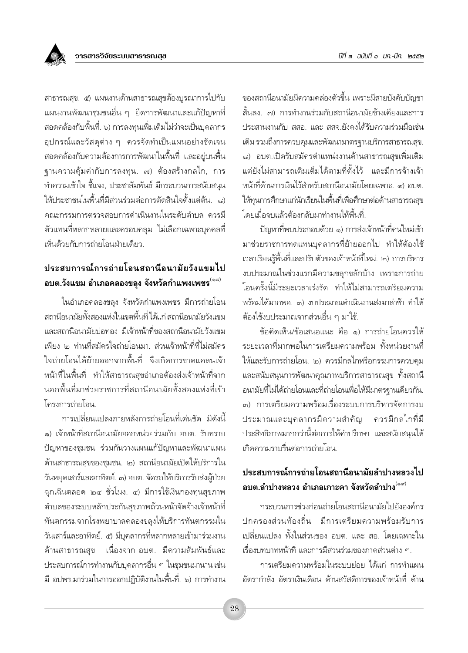สาธารณสุข. ๕) แผนงานด้านสาธารณสุขต้องบูรณาการไปกับ แผนงานพัฒนาชุมชนอื่น ๆ ยึดการพัฒนาและแก้ปัญหาที่ สอดคล้องกับพื้นที่. ๖) การลงทุนเพิ่มเติมไม่ว่าจะเป็นบุคลากร ์ อุปกรณ์และวัสดุต่าง ๆ ควรจัดทำเป็นแผนอย่างชัดเจน ีสอดคล้องกับความต้องการการพัฒนาในพื้นที่ และอยู่บนพื้น ฐานความคุ้มค่ากับการลงทุน. ๗) ต้องสร้างกลไก, การ ทำความเข้าใจ ชี้แจง, ประชาสัมพันธ์ มีกระบวนการสนับสนน ให้ประชาชนในพื้นที่มีส่วนร่วมต่อการตัดสินใจตั้งแต่ต้น. ๘) คณะกรรมการตรวจสอบการดำเนินงานในระดับตำบล ควรมื ์ตัวแทนที่หลากหลายและครอบคลุม ไม่เลือกเฉพาะบุคคลที่ เห็นด้วยกับการถ่ายโอนฝ่ายเดียว

# ประสบการณ์การถ่ายโอนสถานีอนามัยวังแขมไป ือบต.วังแขม อำเภอคลองขลุง จังหวัดกำแพงเพชร<sup>(๑๘)</sup>

ในอำเภอคลองขลุง จังหวัดกำแพงเพชร มีการถ่ายโอน สถานีอนามัยทั้งสองแห่งในเขตพื้นที่ ได้แก่ สถานีอนามัยวังแขม และสถานีอนามัยบ่อทอง มีเจ้าหน้าที่ของสถานีอนามัยวังแขม เพียง ๒ ท่านที่สมัครใจถ่ายโอนมา. ส่วนเจ้าหน้าที่ที่ไม่สมัคร ใจถ่ายโอนได้ย้ายออกจากพื้นที่ จึงเกิดการขาดแคลนเจ้า หน้าที่ในพื้นที่ ทำให้สาธารณสขอำเภอต้องส่งเจ้าหน้าที่จาก นอกพื้นที่มาช่วยราชการที่สถานีอนามัยทั้งสองแห่งที่เข้า โครงการก่ายโลน

การเปลี่ยนแปลงภายหลังการถ่ายโอนที่เด่นชัด มีดังนี้ ๑) เจ้าหน้าที่สถานีอนามัยออกหน่วยร่วมกับ อบต. รับทราบ ปัญหาของชุมชน ร่วมกันวางแผนแก้ปัญหาและพัฒนาแผน ด้านสาธารณสุขของชุมชน. ๒) สถานีอนามัยเปิดให้บริการใน วันหยุดเสาร์และอาทิตย์. ๓) อบต. จัดรถให้บริการรับส่งผู้ป่วย ฉุกเฉินตลอด ๒๔ ชั่วโมง. ๔) มีการใช้เงินกองทุนสุขภาพ ตำบลของระบบหลักประกันสุขภาพถ้วนหน้าจัดจ้างเจ้าหน้าที่ ทันตกรรมจากโรงพยาบาลคลองขลุงให้บริการทันตกรรมใน วันเสาร์และอาทิตย์. ๕) มีบุคลากรที่หลากหลายเข้ามาร่วมงาน ้ด้านสาธารณสุข เนื่องจาก อบต. มีความสัมพันธ์และ ประสบการณ์การทำงานกับบุคลากรอื่น ๆ ในชุมชนมานาน เช่น มี อปพร.มาร่วมในการออกปฏิบัติงานในพื้นที่. ๖) การทำงาน ของสถานีอนามัยมีความคล่องตัวขึ้น เพราะมีสายบังคับบัญชา สั้นลง. ๗) การทำงานร่วมกับสถานีอนามัยข้างเคียงและการ ประสานงานกับ สสุก และ สสุจ ยังคงได้รับความร่วมมือเช่น เดิม รวมถึงการควบคุมและพัฒนามาตรฐานบริการสาธารณสุข. ี๘) อบต.เปิดรับสมัครตำแหน่งงานด้านสาธารณสุขเพิ่มเติม แต่ยังไม่สามารถเติมเต็มได้ตามที่ตั้งไว้ และมีการจ้างเจ้า หน้าที่ด้านการเงินไว้สำหรับสถานีอนามัยโดยเฉพาะ ๙) อบต ให้ทุนการศึกษาแก่นักเรียนในพื้นที่เพื่อศึกษาต่อด้านสาธารณสุข โดยเมื่อจบแล้วต้องกลับมาทำงานให้พื้นที่.

ปัญหาที่พบประกอบด้วย ๑) การส่งเจ้าหน้าที่คนใหม่เข้า มาช่วยราชการทดแทนบุคลากรที่ย้ายออกไป ทำให้ต้องใช้ เวลาเรียนรู้พื้นที่และปรับตัวของเจ้าหน้าที่ใหม่. ๒) การบริหาร งบประมาณในช่วงแรกมีความขลุกขลักบ้าง เพราะการถ่าย โอนครั้งนี้มีระยะเวลาเร่งรัด ทำให้ไม่สามารถเตรียมความ ้พร้อมได้มากพอ. ๓) งบประมาณดำเนินงานส่งมาล่าช้า ทำให้ ต้องใช้งบประมาณจากส่วนอื่น ๆ มาใช้.

ข้อคิดเห็น/ข้อเสนอแนะ คือ ๑) การถ่ายโอนควรให้ ระยะเวลาที่มากพอในการเตรียมความพร้อม ทั้งหน่วยงานที่ ให้และรับการถ่ายโอน. ๒) ควรมีกลไกหรือกรรมการควบคุม และสนับสนุนการพัฒนาคุณภาพบริการสาธารณสุข ทั้งสถานี อนามัยที่ไม่ได้ถ่ายโอนและที่ถ่ายโอนเพื่อให้มีมาตรฐานเดียวกัน. ๓) การเตรียมความพร้อมเรื่องระบบการบริหารจัดการงบ ประมาณและบุคลากรมีความสำคัญ ิ ควรมีกลไกที่มี ประสิทธิภาพมากกว่านี้ต่อการให้คำปรึกษา และสนับสนุนให้ เกิดความราบรื่นต่อการถ่ายโอน.

### าไระสบการณ์การถ่ายโอนสถานีอนามัยลำปางหลวงไป ือบต.ลำปางหลวง อำเภอเกาะคา จังหวัดลำปาง<sup>(๑๙)</sup>

กระบวนการช่วงก่อนถ่ายโอนสถานีอนามัยไปยังองค์กร ปกครองส่วนท้องถิ่น มีการเตรียมความพร้อมรับการ เปลี่ยนแปลง ทั้งในส่วนของ อบต. และ สอ. โดยเฉพาะใน เรื่องบทบาทหน้าที่ และการมีส่วนร่วมของภาคส่วนต่าง ๆ.

การเตรียมความพร้อมในระบบย่อย ได้แก่ การทำแผน อัตรากำลัง อัตราเงินเดือน ด้านสวัสดิการของเจ้าหน้าที่ ด้าน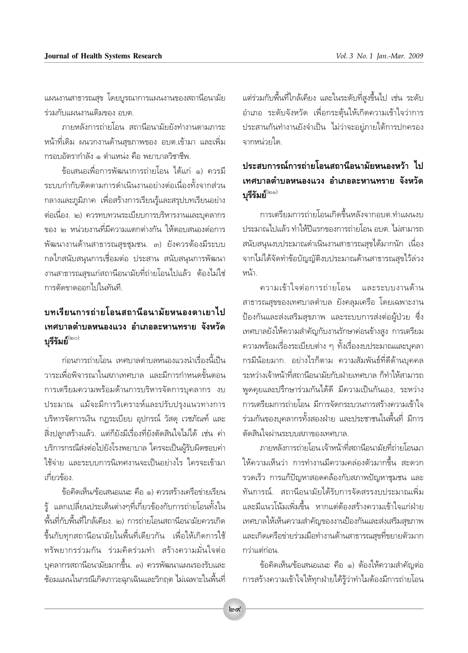่ แผนงานสาธารณสุข โดยบูรณาการแผนงานของสถานีอนามัย ร่วมกับแผนงานเดิมของ อบต.

ภายหลังการถ่ายโอน สถานีอนามัยยังทำงานตามภาระ หน้าที่เดิม ผนวกงานด้านสุขภาพของ อบต.เข้ามา และเพิ่ม กรอบอัตรากำลัง ๑ ตำแหน่ง คือ พยาบาลวิชาชีพ.

ข้อเสนอเพื่อการพัฒนาการถ่ายโอน ได้แก่ ๑) ควรมื ระบบกำกับติดตามการดำเนินงานอย่างต่อเนื่องทั้งจากส่วน ึกลางและภูมิภาค เพื่อสร้างการเรียนรู้และสรุปบทเรียนอย่าง ต่อเนื่อง. ๒) ควรทบทวนระเบียบการบริหารงานและบคลากร ของ ๒ หน่วยงานที่มีความแตกต่างกัน ให้ตอบสนองต่อการ พัฒนางานด้านสาธารณสุขชุมชน. ๓) ยังควรต้องมีระบบ ึกลไกสนับสนุนการเชื่อมต่อ ประสาน สนับสนุนการพัฒนา งานสาธารณสุขแก่สถานีอนามัยที่ถ่ายโอนไปแล้ว ต้องไม่ใช่ การตัดขาดออกไปในทันที

#### <u>ำเทเรียนการถ่ายโอนสถานีอนามัยหนองตาเยาไป</u> เทศบาลตำบลหนองแวง อำเภอละหานทราย จังหวัด บรีรัมย์<sup>(๒๐)</sup>

้ก่อนการถ่ายโอน เทศบาลตำบลหนองแวงนำเรื่องนี้เป็น วาระเพื่อพิจารณาในสภาเทศบาล และมีการกำหนดขั้นตอน การเตรียมความพร้อมด้านการบริหารจัดการบุคลากร งบ ประมาณ แม้จะมีการวิเคราะห์และปรับปรุงแนวทางการ บริหารจัดการเงิน กฎระเบียบ อุปกรณ์ วัสดุ เวชภัณฑ์ และ สิ่งปลูกสร้างแล้ว. แต่ก็ยังมีเรื่องที่ยังตัดสินใจไม่ได้ เช่น ค่า บริการกรณีส่งต่อไปยังโรงพยาบาล ใครจะเป็นผู้รับผิดชอบค่า ใช้จ่าย และระบบการนิเทศงานจะเป็นอย่างไร ใครจะเข้ามา เกี่ยวข้อง

ข้อคิดเห็น/ข้อเสนอแนะ คือ ๑) ควรสร้างเครือข่ายเรียน ้รู้ แลกเปลี่ยนประเด็นต่างๆที่เกี่ยวข้องกับการถ่ายโอนทั้งใน ์พื้นที่กับพื้นที่ใกล้เคียง. ๒) การถ่ายโอนสถานีอนามัยควรเกิด ขึ้นกับทุกสถานีอนามัยในพื้นที่เดียวกัน เพื่อให้เกิดการใช้ ทรัพยากรร่วมกัน ร่วมคิดร่วมทำ สร้างความมั่นใจต่อ ี บุคลากรสถานีอนามัยมากขึ้น. ๓) ควรพัฒนาแผนรองรับและ ช้อมแผนในกรณีเกิดภาวะฉุกเฉินและวิกฤต ไม่เฉพาะในพื้นที่ แต่ร่วมกับพื้นที่ใกล้เคียง และในระดับที่สูงขึ้นไป เช่น ระดับ อำเภอ ระดับจังหวัด เพื่อกระตุ้นให้เกิดความเข้าใจว่าการ ประสานกันทำงานยังจำเป็น ไม่ว่าจะอย่ภายใต้การปกครอง จากหน่วยใด.

# ง|ระสงเการณ์การถ่ายโลนสถานีลนามัยหนลงหว้า ไง| เทศบาลตำบลหนองแวง อำเภอละหานทราย จังหวัด บุรีรัมย์

การเตรียมการถ่ายโอนเกิดขึ้นหลังจากอบต.ทำแผนงบ ประมาณไปแล้ว ทำให้ปีแรกของการถ่ายโอน อบต. ไม่สามารถ สนับสนุนงบประมาณดำเนินงานสาธารณสุขได้มากนัก เนื่อง จากไม่ได้จัดทำข้อบัญญัติงบประมาณด้านสาธารณสุขไว้ล่วง หน้า

้ความเข้าใจต่อการถ่ายโอน และระบบงานด้าน สาธารณสุขของเทศบาลตำบล ยังคลุมเครือ โดยเฉพาะงาน ป้องกันและส่งเสริมสุขภาพ และระบบการส่งต่อผู้ป่วย ซึ่ง เทศบาลยังให้ความสำคัญกับงานรักษาค่อนข้างสูง การเตรียม ความพร้อมเรื่องระเบียบต่าง ๆ ทั้งเรื่องงบประมาณและบุคลา กรมีน้อยมาก. อย่างไรก็ตาม ความสัมพันธ์ที่ดีด้านบุคคล ระหว่างเจ้าหน้าที่สถานีอนามัยกับฝ่ายเทศบาล ก็ทำให้สามารถ ้พูดคุยและปรึกษาร่วมกันได้ดี มีความเป็นกันเอง, ระหว่าง การเตรียมการถ่ายโอน มีการจัดกระบวนการสร้างความเข้าใจ ร่วมกันของบุคลากรทั้งสองฝ่าย และประชาชนในพื้นที่ มีการ ตัดสินใจผ่านระบบสภาของเทศบาล

ภายหลังการถ่ายโอน เจ้าหน้าที่สถานีอนามัยที่ถ่ายโอนมา ให้ความเห็นว่า การทำงานมีความคล่องตัวมากขึ้น สะดวก รวดเร็ว การแก้ปัญหาสอดคล้องกับสภาพปัญหาชุมชน และ ้ทันการณ์. สถานีอนามัยได้รับการจัดสรรงบประมาณเพิ่ม และมีแนวโน้มเพิ่มขึ้น หากแต่ต้องสร้างความเข้าใจแก่ฝ่าย เทศบาลให้เห็นความสำคัญของงานป้องกันและส่งเสริมสุขภาพ และเกิดเครือข่ายร่วมมือทำงานด้านสาธารณสุขที่ขยายตัวมาก กว่าแต่ก่อน.

ข้อคิดเห็น/ข้อเสนอแนะ คือ ๑) ต้องให้ความสำคัญต่อ การสร้างความเข้าใจให้ทุกฝ่ายได้รู้ว่าทำไมต้องมีการถ่ายโอน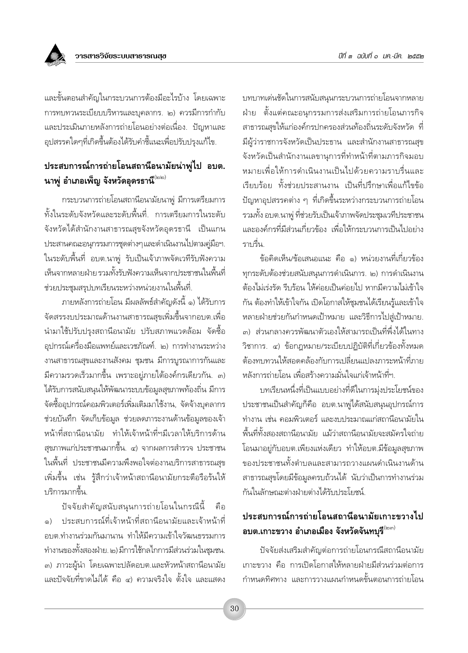

และขั้นตอนสำคัญในกระบวนการต้องมือะไรบ้าง โดยเฉพาะ การทบทวนระเบียบบริหารและบุคลากร. ๒) ควรมีการกำกับ และประเมินภายหลังการถ่ายโอนอย่างต่อเนื่อง. ปัญหาและ อุปสรรคใดๆที่เกิดขึ้นต้องได้รับคำชี้แนะเพื่อปรับปรุงแก้ไข.

#### ประสบการณ์การถ่ายโอนสถานีอนามัยน่าพู่ไป อบต. นาพู่ อำเภอเพ็ญ จังหวัดอุดรธานี่®

กระบวนการถ่ายโอนสถานีอนามัยนาพู่ มีการเตรียมการ ทั้งในระดับจังหวัดและระดับพื้นที่. การเตรียมการในระดับ จังหวัดได้สำนักงานสาธารณสุขจังหวัดอุดรธานี เป็นแกน ประสานคณะอนุกรรมการชุดต่างๆและดำเนินงานไปตามคู่มือฯ. ในระดับพื้นที่ อบต.นาพู่ รับเป็นเจ้าภาพจัดเวทีรับฟังความ เห็นจากหลายฝ่าย รวมทั้งรับฟังความเห็นจากประชาชนในพื้นที่ ช่วยประชมสรปบทเรียนระหว่างหน่วยงานในพื้นที่.

ภายหลังการถ่ายโอน มีผลลัพธ์สำคัญดังนี้ ๑) ได้รับการ จัดสรรงบประมาณด้านงานสาธารณสุขเพิ่มขึ้นจากอบต.เพื่อ ้นำมาใช้ปรับปรุงสถานีอนามัย ปรับสภาพแวดล้อม จัดซื้อ อุปกรณ์เครื่องมือแพทย์และเวชภัณฑ์. ๒) การทำงานระหว่าง งานสาธารณสุขและงานสังคม ชุมชน มีการบูรณาการกันและ ้มีความรวดเร็วมากขึ้น เพราะอยู่ภายใต้องค์กรเดียวกัน. ๓) ได้รับการสนับสนุนให้พัฒนาระบบข้อมูลสุขภาพท้องถิ่น มีการ จัดซื้ออุปกรณ์คอมพิวเตอร์เพิ่มเติมมาใช้งาน, จัดจ้างบุคลากร ช่วยบันทึก จัดเก็บข้อมูล ช่วยลดภาระงานด้านข้อมูลของเจ้า หน้าที่สถานีอนามัย ทำให้เจ้าหน้าที่ฯมีเวลาให้บริการด้าน ัสุขภาพแก่ประชาชนมากขึ้น. ๔) จากผลการสำรวจ ประชาชน ในพื้นที่ ประชาชนมีความพึงพอใจต่องานบริการสาธารณสุข เพิ่มขึ้น เช่น รู้สึกว่าเจ้าหน้าสถานีอนามัยกระตือรือร้นให้ บริการมากขึ้น.

้ปัจจัยสำคัญสนับสนุนการถ่ายโอนในกรณีนี้ คือ ๑) ประสบการณ์ที่เจ้าหน้าที่สถานีอนามัยและเจ้าหน้าที่ อบต.ทำงานร่วมกันมานาน ทำให้มีความเข้าใจวัฒนธรรมการ ทำงานของทั้งสองฝ่าย. ๒) มีการใช้กลไกการมีส่วนร่วมในชุมชน. ๓) ภาวะผู้นำ โดยเฉพาะปลัดอบต.และหัวหน้าสถานีอนามัย และปัจจัยที่ขาดไม่ได้ คือ ๔) ความจริงใจ ตั้งใจ และแสดง บทบาทเด่นชัดในการสนับสนุนกระบวนการถ่ายโอนจากหลาย ฝ่าย ตั้งแต่คณะอนกรรมการส่งเสริมการถ่ายโอนภารกิจ สาธารณสขให้แก่องค์กรปกครองส่วนท้องถิ่นระดับจังหวัด ที่ มีผู้ว่าราชการจังหวัดเป็นประธาน และสำนักงานสาธารณสุข จังหวัดเป็นสำนักงานเลขานการที่ทำหน้าที่ตามภารกิจมอบ หมายเพื่อให้การดำเนินงานเป็นไปด้วยความราบรื่นและ เรียบร้อย ทั้งช่วยประสานงาน เป็นที่ปรึกษาเพื่อแก้ไขข้อ ้ปัญหาอุปสรรคต่าง ๆ ที่เกิดขึ้นระหว่างกระบวนการถ่ายโอน รวมทั้ง อบต.นาพู่ ที่ช่วยรับเป็นเจ้าภาพจัดประชุมเวทีประชาชน และองค์กรที่มีส่วนเกี่ยวข้อง เพื่อให้กระบวนการเป็นไปอย่าง ราบรื่น

ข้อคิดเห็น/ข้อเสนอแนะ คือ ๑) หน่วยงานที่เกี่ยวข้อง ทกระดับต้องช่วยสนับสนนการดำเนินการ. ๒) การดำเนินงาน ต้องไม่เร่งรัด รีบร้อน ให้ค่อยเป็นค่อยไป หากมีความไม่เข้าใจ กัน ต้องทำให้เข้าใจกัน เปิดโอกาสให้ชุมชนได้เรียนรู้และเข้าใจ หลายฝ่ายช่วยกันกำหนดเป้าหมาย และวิธีการไปสู่เป้าหมาย. ๓) ส่วนกลางควรพัฒนาตัวเองให้สามารถเป็นที่พึ่งได้ในทาง วิชาการ. ๔) ข้อกฎหมาย/ระเบียบปฏิบัติที่เกี่ยวข้องทั้งหมด ต้องทบทวนให้สอดคล้องกับการเปลี่ยนแปลงภาระหน้าที่ภาย หลังการถ่ายโอน เพื่อสร้างความมั่นใจแก่เจ้าหน้าที่ฯ

บทเรียนหนึ่งที่เป็นแบบอย่างที่ดีในการมุ่งประโยชน์ของ ประชาชนเป็นสำคัญก็คือ อบต.นาพู่ได้สนับสนุนอุปกรณ์การ ้ทำงาน เช่น คอมพิวเตอร์ และงบประมาณแก่สถานีอนามัยใน ์พื้นที่ทั้งสองสถานีอนามัย แม้ว่าสถานีอนามัยจะสมัครใจถ่าย โอนมาอยู่กับอบต.เพียงแห่งเดียว ทำให้อบต.มีข้อมูลสุขภาพ ของประชาชนทั้งตำบลและสามารถวางแผนดำเนินงานด้าน สาธารณสุขโดยมีข้อมูลครบถ้วนได้ นับว่าเป็นการทำงานร่วม กันในลักษณะต่างฝ่ายต่างได้รับประโยชน์

# ประสบการณ์การถ่ายโอนสถานีอนามัยเกาะขวางไป อบต.เกาะขวาง อำเภอเมือง จังหวัดจันทบุรี $^{\scriptscriptstyle(\!\leftarrow\!\scriptstyle\cdots\!\scriptstyle\cdots\!\scriptstyle\cdots\!\scriptstyle\cdots\!\scriptstyle\cdots\!\!\!\!}$

ปัจจัยส่งเสริมสำคัญต่อการถ่ายโอนกรณีสถานีอนามัย เกาะขวาง คือ การเปิดโอกาสให้หลายฝ่ายมีส่วนร่วมต่อการ กำหนดทิศทาง และการวางแผนกำหนดขั้นตอนการถ่ายโอน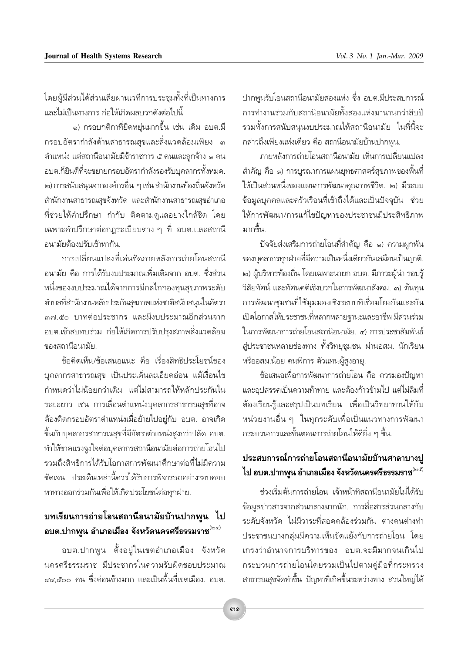โดยผู้มีส่วนได้ส่วนเสียผ่านเวทีการประชุมทั้งที่เป็นทางการ และไม่เป็นทางการ ก่อให้เกิดผลบวกดังต่อไปนี้

๑) กรอบกติกาที่ยืดหย่นมากขึ้น เช่น เดิม อบต.มี่ กรอบอัตรากำลังด้านสาธารณสุขและสิ่งแวดล้อมเพียง ๓ ตำแหน่ง แต่สถานีอนามัยมีข้าราชการ ๕ คนและลูกจ้าง ๑ คน ้อบต.ก็ยินดีที่จะขยายกรอบอัตรากำลังรองรับบุคลากรทั้งหมด. ๒) การสนับสนุนจากองค์กรอื่น ๆ เช่น สำนักงานท้องถิ่นจังหวัด สำนักงานสาธารณสุขจังหวัด และสำนักงานสาธารณสุขอำเภอ ที่ช่วยให้คำปรึกษา กำกับ ติดตามดแลอย่างใกล้ชิด โดย เฉพาะคำปรึกษาต่อกฎระเบียบต่าง ๆ ที่ อบต.และสถานี อนามัยต้องปรับเข้าหากัน.

การเปลี่ยนแปลงที่เด่นชัดภายหลังการถ่ายโอนสถานี อนามัย คือ การได้รับงบประมาณเพิ่มเติมจาก อบต. ซึ่งส่วน หนึ่งของงบประมาณได้จากการมีกลไกกองทุนสุขภาพระดับ ตำบลที่สำนักงานหลักประกันสุขภาพแห่งชาติสนับสนุนในอัตรา ๓๗ สื่อ บาทต่อประชากร และมึงบประมาณอีกส่วนจาก ้อบต.เข้าสบทบร่วม ก่อให้เกิดการปรับปรุงสภาพสิ่งแวดล้อม ของสถานีอนามัย

ข้อคิดเห็น/ข้อเสนอแนะ คือ เรื่องสิทธิประโยชน์ของ ้บุคลากรสาธารณสุข เป็นประเด็นละเอียดอ่อน แม้เงื่อนไข กำหนดว่าไม่น้อยกว่าเดิม แต่ไม่สามารถให้หลักประกันใน ระยะยาว เช่น การเลื่อนตำแหน่งบุคลากรสาธารณสุขที่อาจ ต้องติดกรอบอัตราตำแหน่งเมื่อย้ายไปอยู่กับ อบต. อาจเกิด ขึ้นกับบุคลากรสาธารณสุขที่มีอัตราตำแหน่งสูงกว่าปลัด อบต. ทำให้ขาดแรงจูงใจต่อบุคลากรสถานีอนามัยต่อการถ่ายโอนไป รวมถึงสิทธิการได้รับโอกาสการพัฒนาศึกษาต่อที่ไม่มีความ ชัดเจน ประเด็นเหล่านี้ควรได้รับการพิจารณาอย่างรอบคอบ หาทางออกร่วมกันเพื่อให้เกิดประโยชน์ต่อทุกฝ่าย.

#### ิบทเรียนการถ่ายโอนสถานีอนามัยบ้านปากพูน ไป ือบต.ปากพูน อำเภอเมือง จังหวัดนครศรีธรรมราช $^{\scriptscriptstyle(\mathrm{log})}$

้อบต.ปากพูน ตั้งอยู่ในเขตอำเภอเมือง จังหวัด นครศรีธรรมราช มีประชากรในความรับผิดชอบประมาณ ๔๔.๕๐๐ คน ซึ่งค่อนข้างมาก และเป็นพื้นที่เขตเมือง. อบต. ปากพนรับโอนสถานีอนามัยสองแห่ง ซึ่ง อบต.มีประสบการณ์ การทำงานร่วมกับสถานีอนามัยทั้งสองแห่งมานานกว่าสิบปี ี<br>รวมทั้งการสนับสนุนงบประมาณให้สถานีอนามัย ในที่นี้จะ กล่าวถึงเพียงแห่งเดียว คือ สถานีอนามัยบ้านปากพูน.

ิภายหลังการถ่ายโอนสถานีอนามัย เห็นการเปลี่ยนแปลง ้สำคัญ คือ ๑) การบูรณาการแผนยุทธศาสตร์สุขภาพของพื้นที่ ให้เป็นส่วนหนึ่งของแผนการพัฒนาคุณภาพชีวิต. ๒) มีระบบ ข้อมูลบุคคลและครัวเรือนที่เข้าถึงได้และเป็นปัจจุบัน ช่วย ให้การพัฒนา/การแก้ไขปัญหาของประชาชนมีประสิทธิภาพ มากขึ้น

ปัจจัยส่งเสริมการถ่ายโอนที่สำคัญ คือ ๑) ความผูกพัน ของบุคลากรทุกฝ่ายที่มีความเป็นหนึ่งเดียวกันเสมือนเป็นญาติ. ๒) ผู้บริหารท้องถิ่น โดยเฉพาะนายก อบต. มีภาวะผู้นำ รอบรู้ วิสัยทัศน์ และทัศนคติเชิงบวกในการพัฒนาสังคม. ๓) ต้นทุน การพัฒนาชุมชนที่ใช้มุมมองเชิงระบบที่เชื่อมโยงกันและกัน เปิดโอกาสให้ประชาชนที่หลากหลายฐานะและอาชีพ มีส่วนร่วม ในการพัฒนาการถ่ายโอนสถานีอนามัย. ๔) การประชาสัมพันธ์ สู่ประชาชนหลายช่องทาง ทั้งวิทยุชุมชน ผ่านอสม. นักเรียน หรืออสม.น้อย คนพิการ ตัวแทนผู้สูงอายุ.

ข้อเสนอเพื่อการพัฒนาการถ่ายโอน คือ ควรมองปัญหา และอปสรรคเป็นความท้าทาย และต้องก้าวข้ามไป แต่ไม่ลืมที่ ้ต้องเรียนรู้และสรุปเป็นบทเรียน เพื่อเป็นวิทยาทานให้กับ หน่วยงานอื่น ๆ ในทุกระดับเพื่อเป็นแนวทางการพัฒนา ้กระบวนการและขั้นตอนการถ่ายโอนให้ดียิ่ง ๆ ขึ้น.

#### ประสบการณ์การถ่ายโอนสถานีอนามัยบ้านศาลาบางปู ไป อบต.ปากพูน อำเภอเมือง จังหวัดนครศรีธรรมราช<sup>(๒๕)</sup>

ช่วงเริ่มต้นการถ่ายโอน เจ้าหน้าที่สถานีอนามัยไม่ได้รับ ข้อมูลข่าวสารจากส่วนกลางมากนัก. การสื่อสารส่วนกลางกับ ระดับจังหวัด ไม่มีวาระที่สอดคล้องร่วมกัน ต่างคนต่างทำ ประชาชนบางกลุ่มมีความเห็นขัดแย้งกับการถ่ายโอน โดย เกรงว่าอำนาจการบริหารของ อบต.จะมีมากจนเกินไป กระบวนการถ่ายโอนโดยรวมเป็นไปตามคู่มือที่กระทรวง สาธารณสุขจัดทำขึ้น ปัญหาที่เกิดขึ้นระหว่างทาง ส่วนใหญ่ได้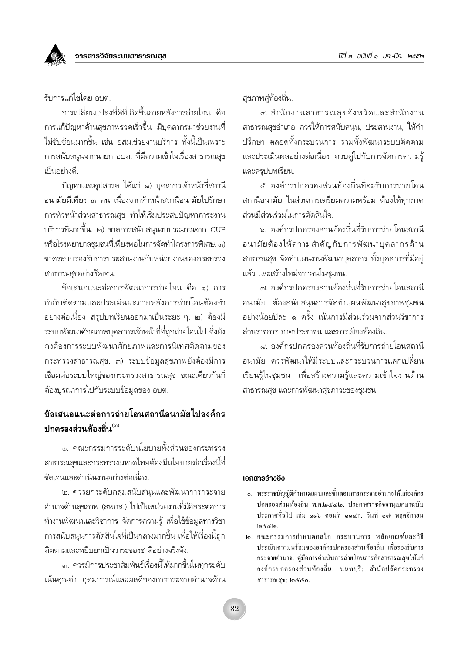รับการแก้ไขโดย อบต

การเปลี่ยนแปลงที่ดีที่เกิดขึ้นภายหลังการถ่ายโอน คือ การแก้ปัญหาด้านสุขภาพรวดเร็วขึ้น มีบุคลากรมาช่วยงานที่ ไม่ซับซ้อนมากขึ้น เช่น อสม.ช่วยงานบริการ ทั้งนี้เป็นเพราะ การสนับสนุนจากนายก อบต. ที่มีความเข้าใจเรื่องสาธารณสุข เป็นอย่างดี.

ปัญหาและอุปสรรค ได้แก่ ๑) บุคลากรเจ้าหน้าที่สถานี อนามัยมีเพียง ๓ คน เนื่องจากหัวหน้าสถานีอนามัยไปรักษา การหัวหน้าส่วนสาธารณสุข ทำให้เริ่มประสบปัญหาภาระงาน บริการที่มากขึ้น. ๒) ขาดการสนับสนุนงบประมาณจาก CUP หรือโรงพยาบาลชุมชนที่เพียงพอในการจัดทำโครงการพิเศษ. ๓) ขาดระบบรองรับการประสานงานกับหน่วยงานของกระทรวง สาธารณสุขอย่างชัดเจน

ข้อเสนอแนะต่อการพัฒนาการถ่ายโอน คือ ๑) การ กำกับติดตามและประเมินผลภายหลังการถ่ายโอนต้องทำ ้อย่างต่อเนื่อง สรุปบทเรียนออกมาเป็นระยะ ๆ. ๒) ต้องมี ้ระบบพัฒนาศักยภาพบุคลากรเจ้าหน้าที่ที่ถูกถ่ายโอนไป ซึ่งยัง คงต้องการระบบพัฒนาศักยภาพและการนิเทศติดตามของ กระทรวงสาธารณสุข. ๓) ระบบข้อมูลสุขภาพยังต้องมีการ เชื่อมต่อระบบใหญ่ของกระทรวงสาธารณสุข ขณะเดียวกันก็ ้ต้องบูรณาการไปกับระบบข้อมูลของ อบต.

#### ข้อเสนอแนะต่อการถ่ายโอนสถานีอนามัยไปองค์กร ็งไกครองส่วนท้องถิ่น<sup>(๓)</sup>

๑. คณะกรรมการระดับนโยบายทั้งส่วนของกระทรวง ี<br>สาธารณสุขและกระทรวงมหาดไทยต้องมีนโยบายต่อเรื่องนี้ที่ ชัดเจนและดำเนินงานอย่างต่อเนื่อง.

๒. ควรยกระดับกลุ่มสนับสนุนและพัฒนาการกระจาย อำนาจด้านสุขภาพ (สพกส.) ไปเป็นหน่วยงานที่มีอิสระต่อการ ้ทำงานพัฒนาและวิชาการ จัดการความรู้ เพื่อใช้ข้อมูลทางวิชา การสนับสนุนการตัดสินใจที่เป็นกลางมากขึ้น เพื่อให้เรื่องนี้ถูก ติดตามและหยิบยกเป็นวาระของชาติอย่างจริงจัง.

.๓. ควรมีการประชาสัมพันธ์เรื่องนี้ให้มากขึ้นในทุกระดับ เน้นคุณค่า อุดมการณ์และผลดีของการกระจายอำนาจด้าน สขภาพส่ท้องถิ่น.

๔. สำนักงานสาธารณสุขจังหวัดและสำนักงาน สาธารณสุขอำเภอ ควรให้การสนับสนุน, ประสานงาน, ให้คำ ปรึกษา ตลอดทั้งกระบวนการ รวมทั้งพัฒนาระบบติดตาม และประเมินผลอย่างต่อเนื่อง ควบคู่ไปกับการจัดการความรู้ และสรุปบทเรียน.

๕. องค์กรปกครองส่วนท้องถิ่นที่จะรับการถ่ายโอน สถานีอนามัย ในส่วนการเตรียมความพร้อม ต้องให้ทุกภาค ส่วนมีส่วนร่วมในการตัดสินใจ.

ุ<br>๖ องค์กรปกครองส่วนท้องถิ่นที่รับการถ่ายโอนสถานี อนามัยต้องให้ความสำคัญกับการพัฒนาบุคลากรด้าน ีสาธารณสุข จัดทำแผนงานพัฒนาบุคลากร ทั้งบุคลากรที่มีอยู่ แล้ว และสร้างใหม่จากคนในชมชน.

.๗. องค์กรปกครองส่วนท้องถิ่นที่รับการถ่ายโอนสถานี ือนามัย ต้องสนับสนุนการจัดทำแผนพัฒนาสุขภาพชุมชน ้อย่างน้อยปีละ ๑ ครั้ง เน้นการมีส่วนร่วมจากส่วนวิชาการ ส่วนราชการ ภาคประชาชน และการเมืองท้องถิ่น.

ี่ ๘ องค์กรปกครองส่วนท้องถิ่นที่รับการถ่ายโอนสถานี ้อนามัย ควรพัฒนาให้มีระบบและกระบวนการแลกเปลี่ยน เรียนรู้ในชุมชน เพื่อสร้างความรู้และความเข้าใจงานด้าน สาธารณสุข และการพัฒนาสุขภาวะของชุมชน.

#### เอกสารอ้างอิง

- ๑. พระราชบัญญัติกำหนดแผนและขั้นตอนการกระจายอำนาจให้แก่องค์กร ปกครองส่วนท้องถิ่น พ.ศ.๒๕๔๒. ประกาศราชกิจจานุเบกษาฉบับ ประกาศทั่วไป เล่ม ๑๑๖ ตอนที่ ๑๑๔ก, วันที่ ๑๗ พฤศจิกายน كان المتح
- ไ∞. คณะกรรมการกำหนดกลไก กระบวนการ หลักเกณฑ์และวิธี ประเมินความพร้อมขององค์กรปกครองส่วนท้องถิ่น เพื่อรองรับการ กระจายอำนาจ. คู่มือการดำเนินการถ่ายโอนภารกิจสาธารณสุขให้แก่ องค์กรปกครองส่วนท้องถิ่น. นนทบุรี: สำนักปลัดกระทรวง สาธารณสุข; ๒๕๕๐.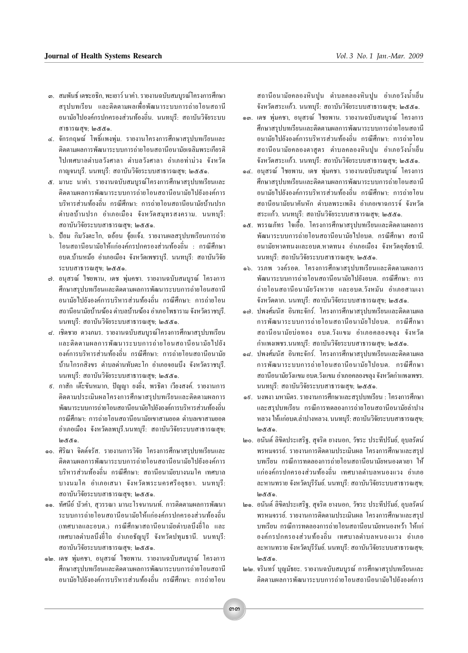- สรปบทเรียน และติดตามผลเพื่อพัฒนาระบบการถ่ายโอนสถานี อนามัยไปองค์กรปกครองส่วนท้องถิ่น. นนทบรี: สถาบันวิจัยระบบ สาธารณสุข; ๒๕๕๑.
- ๔. จักรกฤษณ์ โพธิ์แพงพุ่ม. รายงานโครงการศึกษาสรุปบทเรียนและ ติดตามผลการพัฒนาระบบการถ่ายโอนสถานีอนามัยเฉลิมพระเกียรติ ไปเทศบาลตำบลวังศาลา ตำบลวังศาลา คำเภคท่าม่วง จังหวัด กาญจนบุรี. นนทบุรี: สถาบันวิจัยระบบสาธารณสุข; ๒๕๕๑.
- ๕. มานะ นาคำ. รายงานฉบับสมบูรณ์โครงการศึกษาสรุปบทเรียนและ ติดตามผลการพัฒนาระบบการถ่ายโอนสถานีอนามัยไปยังองค์การ บริหารส่วนท้องถิ่น กรณีศึกษา: การถ่ายโอนสถานีอนามัยบ้านปรก ตำบลบ้านปรก อำเภอเมือง จังหวัดสมุทรสงคราม. นนทบุรี: สถาบันวิจัยระบบสาธารณสุข; ๒๕๕๑.
- ๖. ป้อม กิมวังตะโก. ฉอ้อน จ้ยแจ้ง. รายงานผลสรปบทเรียนการถ่าย โอนสถานีอนามัยให้แก่องค์กรปกครองส่วนท้องถิ่น : กรณีศึกษา อบต.บ้านหม้อ อำเภอเมือง จังหวัดเพชรบรี. นนทบรี: สถาบันวิจัย ระบบสาธารณสบ: ๒๕๕๑.
- ๗. อนสรณ์ ไชยพาน, เคช พ่มคชา. รายงานฉบับสมบรณ์ โครงการ ศึกษาสรุปบทเรียนและติดตามผลการพัฒนาระบบการถ่ายโอนสถานี อนามัยไปยังองค์การบริหารส่วนท้องถิ่น กรณีศึกษา: การถ่ายโอน สถานีอนามัยบ้านฆ้อง ตำบลบ้านฆ้อง อำเภอโพธาราม จังหวัดราชบรี. นนทบุรี: สถาบันวิจัยระบบสาธารณสุข; ๒๕๕๑.
- ๔. เชิดชาย ควงภมร. รายงานฉบับสมบูรณ์โครงการศึกษาสรุปบทเรียน และติดตามผลการพัฒนาระบบการถ่ายโอนสถานีอนามัยไปยัง องค์การบริหารส่วนท้องถิ่น กรณีศึกษา การถ่ายโอนสถานีอนามัย บ้านโกรกสิงขร ตำบลค่านทับตะโก อำเภอจอมบึง จังหวัดราชบุรี. นนทบุรี: สถาบันวิจัยระบบสาธารณสุข; ๒๕๕๑.
- ี่ ៩. กาสัก เต๊ะขันหมาก, ปัญญา ยงยิ่ง, พรธิดา เวียงสงค์. รายงานการ ติดตามประเมินผลโครงการศึกษาสรปบทเรียนและติดตามผลการ พัฒนาระบบการถ่ายโอนสถานีอนามัยไปยังองค์การบริหารส่วนท้องถิ่น กรณีศึกษา: การถ่ายโอนสถานีอนามัยเขาสามยอด ตำบลเขาสามยอด อำเภอเมือง จังหวัดลพบุรี.นนทบุรี: สถาบันวิจัยระบบสาธารณสุข;  $\log$ coc $\epsilon$
- ๑๐. ศิริณา จิตต์จรัส. รายงานการวิจัย โครงการศึกษาสรปบทเรียนและ ติดตามผลการพัฒนาระบบการถ่ายโอนสถานีอนามัยไปยังองค์การ บริหารส่วนท้องถิ่น กรณีศึกษา: สถานีอนามัยบางนมโค เทศบาล บางนมโค อำเภอเสนา จังหวัดพระนครศรีอยธยา. นนทบรี: สถาบันวิจัยระบบสาธารณสุข; ๒๕๕๑.
- ๑๑. ทัศนีย์ บัวคำ, สุวรรณา มานะโรจนานนท์. การติดตามผลการพัฒนา ระบบการถ่ายโอนสถานีอนามัยให้แก่องค์กรปกครองส่วนท้องถิ่น (เทศบาลและอบต.) กรณีศึกษาสถานีอนามัยตำบลบึงยี่โถ และ เทศบาลตำบลบึงยี่โถ อำเภอธัญบุรี จังหวัดปทุมธานี. นนทบุรี: สถาบันวิจัยระบบสาธารณสุข; ๒๕๕๑.
- ๑๒. เคช พุ่มคชา, อนุสรณ์ ใชยพาน. รายงานฉบับสมบูรณ์ โครงการ ศึกษาสรปบทเรียนและติดตามผลการพัฒนาระบบการถ่ายโอนสถานี อนามัยไปยังองค์การบริหารส่วนท้องถิ่น กรณีศึกษา: การถ่ายโอน

ิสถานีอนามัยคลองหินปน ตำบลคลองหินปน อำเภอวังน้ำเย็น จังหวัดสระแก้ว. นนทบรี: สถาบันวิจัยระบบสาธารณสข: ๒๕๕๑.

- ๑๓. เคช พ่มคชา, อนสรณ์ ใชยพาน. รายงานฉบับสมบรณ์ โครงการ ศึกษาสรุปบทเรียนและติดตามผลการพัฒนาระบบการถ่ายโอนสถานี อนามัยไปยังองค์การบริหารส่วนท้องถิ่น กรณีศึกษา: การถ่ายโอน สถานีอนามัยคลองตาสตร ตำบลคลองหินปน อำเภอวังน้ำเย็น จังหวัดสระแก้ว. นนทบุรี: สถาบันวิจัยระบบสาธารณสุข; ๒๕๕๑.
- ๑๔. อนุสรณ์ ไชยพาน, เคช พุ่มคชา. รายงานฉบับสมบูรณ์ โครงการ ศึกษาสรปบทเรียนและติดตามผลการพัฒนาระบบการถ่ายโอนสถานี อนามัยไปยังองค์การบริหารส่วนท้องถิ่น กรณีศึกษา: การถ่ายโอน สถานีอนามัยนาคันหัก ตำบลพระเพลิง อำเภอเขาฉกรรจ์ จังหวัด สระแก้ว. นนทบุรี: สถาบันวิจัยระบบสาธารณสุข; ๒๕๕๑.
- ๑๕. พรรณภัทร ใจเอื้อ. โครงการศึกษาสรปบทเรียนและติดตามผลการ พัฒนาระบบการถ่ายโอนสถานีอนามัยไปอบต. กรณีศึกษา สถานี ้อนามัยหาดทนงและอบต.หาดทนง อำเภอเมือง จังหวัดอุทัยธานี. นนทบุรี: สถาบันวิจัยระบบสาธารณสุข; ๒๕๕๑.
- ๑๖. วรภพ วงค์รอด. โครงการศึกษาสรปบทเรียนและติดตามผลการ พัฒนาระบบการถ่ายโอนสถานีอนามัยไปยังอบต. กรณีศึกษา: การ ถ่ายโอนสถานีอนามัยวังหวาย และอบต.วังหมัน อำเภอสามเงา จังหวัดตาก. นนทบุรี: สถาบันวิจัยระบบสาธารณสุข; ๒๕๕๑.
- ๑๗. ปพงศ์มนัส อินทะจักร์. โครงการศึกษาสรปบทเรียนและติดตามผล การพัฒนาระบบการถ่ายโอนสถานีอนามัยไปอบต. กรณีศึกษา สถานีอนามัยบ่อทอง อบต.วังแขม อำเภอคลองขลุง จังหวัด กำแพงเพชร.นนทบรี: สถาบันวิจัยระบบสาธารณสข: ๒๕๕๑.
- ๑๘. ปพงศ์มนัส อินทะจักร์. โครงการศึกษาสรปบทเรียนและติดตามผล การพัฒนาระบบการถ่ายโคนสถานีคนามัยไปคบต. กรณีศึกษา สถานีอนามัยวังแขม อบต.วังแขม อำเภอคลองขลง จังหวัดกำแพงเพชร. นนทบรี: สถาบันวิจัยระบบสาธารณสบ; ๒๕๕๑.
- ๑ธ. นงพงา มหามิตร. รายงานการศึกษาและสรปบทเรียน : โครงการศึกษา และสรุปบทเรียน กรณีการทดลองการถ่ายโอนสถานีอนามัยลำปาง หลวง ให้แก่อบต.ลำปางหลวง. นนทบรี: สถาบันวิจัยระบบสาธารณสข:  $\mathfrak{g}$ දී අ $\mathfrak{g}$ .
- ๒๐. อนันต์ ลิขิตประเสริฐ, สุจริต ยางนอก, วัชระ ประทีปรัมย์, อุบลรัตน์ พรหมจรรย์. รายงานการติดตามประเมินผล โครงการศึกษาและสรป บทเรียน กรณีการทดลองการถ่ายโอนสถานีอนามัยหนองตาเยา ให้ แก่องค์กรปกครองส่วนท้องถิ่น เทศบาลตำบลหนองแวง อำเภอ ละหานทราย จังหวัดบรีรัมย์. นนทบรี: สถาบันวิจัยระบบสาธารณสข;  $\mathfrak{g}$ දී අ $\mathfrak{g}$ .
- ๒๑. อนันต์ ลิขิตประเสริฐ, สุจริต ยางนอก, วัชระ ประทีปรัมย์, อุบลรัตน์ พรหมจรรย์. รายงานการติดตามประเมินผล โครงการศึกษาและสรป บทเรียน กรณีการทดลองการถ่ายโอนสถานีอนามัยหนองหว้า ให้แก่ องค์กรปกครองส่วนท้องถิ่น เทศบาลตำบลหนองแวง อำเภอ ละหานทราย จังหวัดบุรีรัมย์. นนทบุรี: สถาบันวิจัยระบบสาธารณสุข; මයී යී .
- ๒๒. จรินทร์ บุญมัธยะ. รายงานฉบับสมบูรณ์ การศึกษาสรุปบทเรียนและ ติดตามผลการพัฒนาระบบการถ่ายโอนสถานีอนามัยไปยังองค์การ